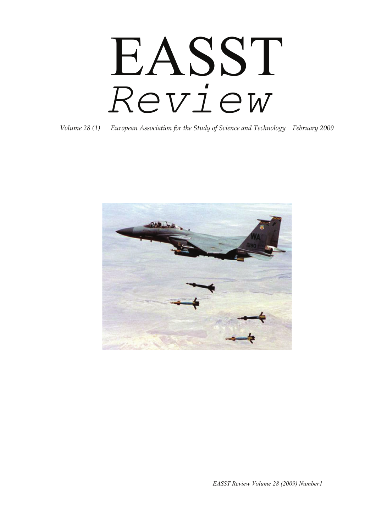# EASST *Review*

*Volume 28 (1) European Association for the Study of Science and Technology February 2009*



*EASST Review Volume 28 (2009) Number1*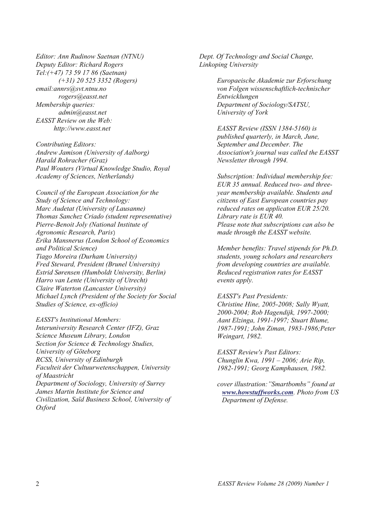*Editor: Ann Rudinow Saetnan (NTNU) Deputy Editor: Richard Rogers Tel:(+47) 73 59 17 86 (Saetnan) (+31) 20 525 3352 (Rogers) email:annrs@svt.ntnu.no rogers@easst.net Membership queries: admin@easst.net EASST Review on the Web: http://www.easst.net* 

*Contributing Editors: Andrew Jamison (University of Aalborg) Harald Rohracher (Graz) Paul Wouters (Virtual Knowledge Studio, Royal Academy of Sciences, Netherlands)* 

*Council of the European Association for the Study of Science and Technology: Marc Audetat (University of Lausanne) Thomas Sanchez Criado (student representative) Pierre-Benoit Joly (National Institute of Agronomic Research, Paris*) *Erika Mansnerus (London School of Economics and Political Science) Tiago Moreira (Durham University) Fred Steward, President (Brunel University) Estrid Sørensen (Humboldt University, Berlin) Harro van Lente (University of Utrecht) Claire Waterton (Lancaster University) Michael Lynch (President of the Society for Social Studies of Science, ex-officio)* 

*EASST's Institutional Members: Interuniversity Research Center (IFZ), Graz Science Museum Library, London Section for Science & Technology Studies, University of Göteborg RCSS, University of Edinburgh Faculteit der Cultuurwetenschappen, University of Maastricht Department of Sociology, University of Surrey James Martin Institute for Science and Civilization, Saïd Business School, University of Oxford* 

*Dept. Of Technology and Social Change, Linkoping University* 

> *Europaeische Akademie zur Erforschung von Folgen wissenschaftlich-technischer Entwicklungen Department of Sociology/SATSU, University of York*

*EASST Review (ISSN 1384-5160) is published quarterly, in March, June, September and December. The Association's journal was called the EASST Newsletter through 1994.* 

*Subscription: Individual membership fee: EUR 35 annual. Reduced two- and threeyear membership available. Students and citizens of East European countries pay reduced rates on applicaton EUR 25/20. Library rate is EUR 40. Please note that subscriptions can also be made through the EASST website.* 

*Member benefits: Travel stipends for Ph.D. students, young scholars and researchers from developing countries are available. Reduced registration rates for EASST events apply.* 

*EASST's Past Presidents: Christine Hine, 2005-2008; Sally Wyatt, 2000-2004; Rob Hagendijk, 1997-2000; Aant Elzinga, 1991-1997; Stuart Blume, 1987-1991; John Ziman, 1983-1986;Peter Weingart, 1982.* 

*EASST Review's Past Editors: Chunglin Kwa, 1991 – 2006; Arie Rip, 1982-1991; Georg Kamphausen, 1982.* 

*cover illustration:"Smartbombs" found at [www.howstuffworks.com](http://www.howstuffworks.com/). Photo from US Department of Defense.*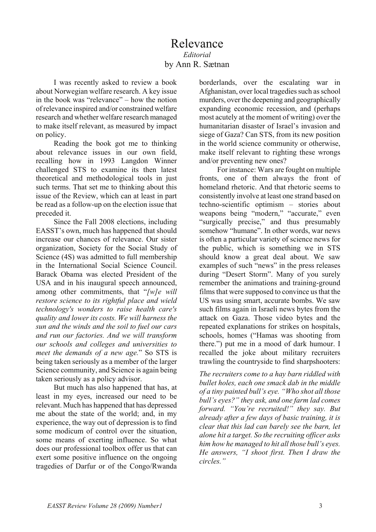## Relevance *Editorial*  by Ann R. Sætnan

I was recently asked to review a book about Norwegian welfare research. A key issue in the book was "relevance" – how the notion of relevance inspired and/or constrained welfare research and whether welfare research managed to make itself relevant, as measured by impact on policy.

Reading the book got me to thinking about relevance issues in our own field, recalling how in 1993 Langdon Winner challenged STS to examine its then latest theoretical and methodological tools in just such terms. That set me to thinking about this issue of the Review, which can at least in part be read as a follow-up on the election issue that preceded it.

Since the Fall 2008 elections, including EASST's own, much has happened that should increase our chances of relevance. Our sister organization, Society for the Social Study of Science (4S) was admitted to full membership in the International Social Science Council. Barack Obama was elected President of the USA and in his inaugural speech announced, among other commitments, that "*[w]e will restore science to its rightful place and wield technology's wonders to raise health care's quality and lower its costs. We will harness the sun and the winds and the soil to fuel our cars and run our factories. And we will transform our schools and colleges and universities to meet the demands of a new age.*" So STS is being taken seriously as a member of the larger Science community, and Science is again being taken seriously as a policy advisor.

But much has also happened that has, at least in my eyes, increased our need to be relevant. Much has happened that has depressed me about the state of the world; and, in my experience, the way out of depression is to find some modicum of control over the situation, some means of exerting influence. So what does our professional toolbox offer us that can exert some positive influence on the ongoing tragedies of Darfur or of the Congo/Rwanda

borderlands, over the escalating war in Afghanistan, over local tragedies such as school murders, over the deepening and geographically expanding economic recession, and (perhaps most acutely at the moment of writing) over the humanitarian disaster of Israel's invasion and siege of Gaza? Can STS, from its new position in the world science community or otherwise, make itself relevant to righting these wrongs and/or preventing new ones?

For instance: Wars are fought on multiple fronts, one of them always the front of homeland rhetoric. And that rhetoric seems to consistently involve at least one strand based on techno-scientific optimism – stories about weapons being "modern," "accurate," even "surgically precise," and thus presumably somehow "humane". In other words, war news is often a particular variety of science news for the public, which is something we in STS should know a great deal about. We saw examples of such "news" in the press releases during "Desert Storm". Many of you surely remember the animations and training-ground films that were supposed to convince us that the US was using smart, accurate bombs. We saw such films again in Israeli news bytes from the attack on Gaza. Those video bytes and the repeated explanations for strikes on hospitals, schools, homes ("Hamas was shooting from there.") put me in a mood of dark humour. I recalled the joke about military recruiters trawling the countryside to find sharpshooters:

*The recruiters come to a hay barn riddled with bullet holes, each one smack dab in the middle of a tiny painted bull's eye. "Who shot all those bull's eyes?" they ask, and one farm lad comes forward. "You're recruited!" they say. But already after a few days of basic training, it is clear that this lad can barely see the barn, let alone hit a target. So the recruiting officer asks him how he managed to hit all those bull's eyes. He answers, "I shoot first. Then I draw the circles."*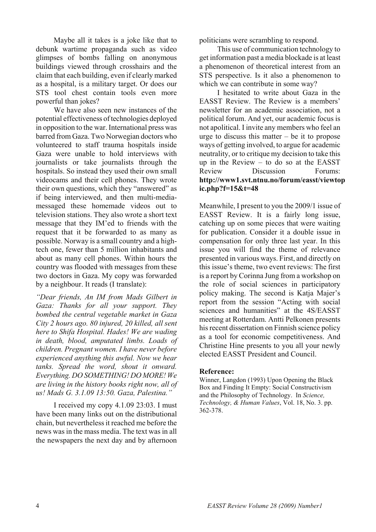Maybe all it takes is a joke like that to debunk wartime propaganda such as video glimpses of bombs falling on anonymous buildings viewed through crosshairs and the claim that each building, even if clearly marked as a hospital, is a military target. Or does our STS tool chest contain tools even more powerful than jokes?

We have also seen new instances of the potential effectiveness of technologies deployed in opposition to the war. International press was barred from Gaza. Two Norwegian doctors who volunteered to staff trauma hospitals inside Gaza were unable to hold interviews with journalists or take journalists through the hospitals. So instead they used their own small videocams and their cell phones. They wrote their own questions, which they "answered" as if being interviewed, and then multi-mediamessaged these homemade videos out to television stations. They also wrote a short text message that they IM'ed to friends with the request that it be forwarded to as many as possible. Norway is a small country and a hightech one, fewer than 5 million inhabitants and about as many cell phones. Within hours the country was flooded with messages from these two doctors in Gaza. My copy was forwarded by a neighbour. It reads (I translate):

*"Dear friends, An IM from Mads Gilbert in Gaza: Thanks for all your support. They bombed the central vegetable market in Gaza City 2 hours ago. 80 injured, 20 killed, all sent here to Shifa Hospital. Hades! We are wading in death, blood, amputated limbs. Loads of children. Pregnant women. I have never before experienced anything this awful. Now we hear tanks. Spread the word, shout it onward. Everything. DO SOMETHING! DO MORE! We are living in the history books right now, all of us! Mads G. 3.1.09 13:50. Gaza, Palestina."* 

I received my copy 4.1.09 23:03. I must have been many links out on the distributional chain, but nevertheless it reached me before the news was in the mass media. The text was in all the newspapers the next day and by afternoon

politicians were scrambling to respond.

This use of communication technology to get information past a media blockade is at least a phenomenon of theoretical interest from an STS perspective. Is it also a phenomenon to which we can contribute in some way?

I hesitated to write about Gaza in the EASST Review. The Review is a members' newsletter for an academic association, not a political forum. And yet, our academic focus is not apolitical. I invite any members who feel an urge to discuss this matter  $-$  be it to propose ways of getting involved, to argue for academic neutrality, or to critique my decision to take this up in the Review – to do so at the EASST Review Discussion Forums: **http://www1.svt.ntnu.no/forum/easst/viewtop ic.php?f=15&t=48**

Meanwhile, I present to you the 2009/1 issue of EASST Review. It is a fairly long issue, catching up on some pieces that were waiting for publication. Consider it a double issue in compensation for only three last year. In this issue you will find the theme of relevance presented in various ways. First, and directly on this issue's theme, two event reviews: The first is a report by Corinna Jung from a workshop on the role of social sciences in participatory policy making. The second is Katja Majer's report from the session "Acting with social sciences and humanities" at the 4S/EASST meeting at Rotterdam. Antti Pelkonen presents his recent dissertation on Finnish science policy as a tool for economic competitiveness. And Christine Hine presents to you all your newly elected EASST President and Council.

#### **Reference:**

Winner, Langdon (1993) Upon Opening the Black Box and Finding It Empty: Social Constructivism and the Philosophy of Technology. In *Science, Technology, & Human Values*, Vol. 18, No. 3. pp. 362-378.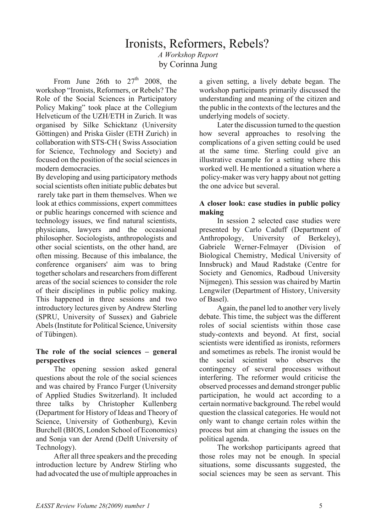## Ironists, Reformers, Rebels? *A Workshop Report*  by Corinna Jung

From June 26th to  $27<sup>th</sup>$  2008, the workshop "Ironists, Reformers, or Rebels? The Role of the Social Sciences in Participatory Policy Making" took place at the Collegium Helveticum of the UZH/ETH in Zurich. It was organised by Silke Schicktanz (University Göttingen) and Priska Gisler (ETH Zurich) in collaboration with STS-CH ( Swiss Association for Science, Technology and Society) and focused on the position of the social sciences in modern democracies.

By developing and using participatory methods social scientists often initiate public debates but rarely take part in them themselves. When we look at ethics commissions, expert committees or public hearings concerned with science and technology issues, we find natural scientists, physicians, lawyers and the occasional philosopher. Sociologists, anthropologists and other social scientists, on the other hand, are often missing. Because of this imbalance, the conference organisers' aim was to bring together scholars and researchers from different areas of the social sciences to consider the role of their disciplines in public policy making. This happened in three sessions and two introductory lectures given by Andrew Sterling (SPRU, University of Sussex) and Gabriele Abels (Institute for Political Science, University of Tübingen).

## **The role of the social sciences – general perspectives**

The opening session asked general questions about the role of the social sciences and was chaired by Franco Furger (University of Applied Studies Switzerland). It included three talks by Christopher Kullenberg (Department for History of Ideas and Theory of Science, University of Gothenburg), Kevin Burchell (BIOS, London School of Economics) and Sonja van der Arend (Delft University of Technology).

After all three speakers and the preceding introduction lecture by Andrew Stirling who had advocated the use of multiple approaches in a given setting, a lively debate began. The workshop participants primarily discussed the understanding and meaning of the citizen and the public in the contexts of the lectures and the underlying models of society.

Later the discussion turned to the question how several approaches to resolving the complications of a given setting could be used at the same time. Sterling could give an illustrative example for a setting where this worked well. He mentioned a situation where a policy-maker was very happy about not getting the one advice but several.

## **A closer look: case studies in public policy making**

In session 2 selected case studies were presented by Carlo Caduff (Department of Anthropology, University of Berkeley), Gabriele Werner-Felmayer (Division of Biological Chemistry, Medical University of Innsbruck) and Maud Radstake (Centre for Society and Genomics, Radboud University Nijmegen). This session was chaired by Martin Lengwiler (Department of History, University of Basel).

Again, the panel led to another very lively debate. This time, the subject was the different roles of social scientists within those case study-contexts and beyond. At first, social scientists were identified as ironists, reformers and sometimes as rebels. The ironist would be the social scientist who observes the contingency of several processes without interfering. The reformer would criticise the observed processes and demand stronger public participation, he would act according to a certain normative background. The rebel would question the classical categories. He would not only want to change certain roles within the process but aim at changing the issues on the political agenda.

The workshop participants agreed that those roles may not be enough. In special situations, some discussants suggested, the social sciences may be seen as servant. This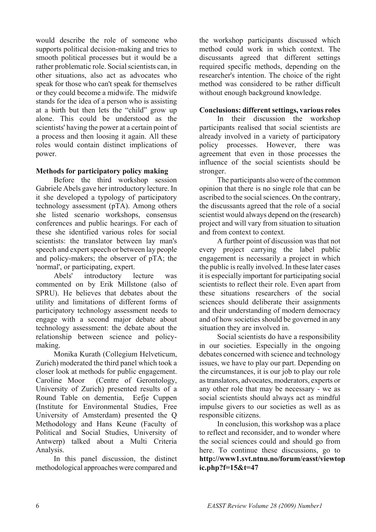would describe the role of someone who supports political decision-making and tries to smooth political processes but it would be a rather problematic role. Social scientists can, in other situations, also act as advocates who speak for those who can't speak for themselves or they could become a midwife. The midwife stands for the idea of a person who is assisting at a birth but then lets the "child" grow up alone. This could be understood as the scientists' having the power at a certain point of a process and then loosing it again. All these roles would contain distinct implications of power.

## **Methods for participatory policy making**

Before the third workshop session Gabriele Abels gave her introductory lecture. In it she developed a typology of participatory technology assessment (pTA). Among others she listed scenario workshops, consensus conferences and public hearings. For each of these she identified various roles for social scientists: the translator between lay man's speech and expert speech or between lay people and policy-makers; the observer of pTA; the 'normal', or participating, expert.

Abels' introductory lecture was commented on by Erik Millstone (also of SPRU). He believes that debates about the utility and limitations of different forms of participatory technology assessment needs to engage with a second major debate about technology assessment: the debate about the relationship between science and policymaking.

Monika Kurath (Collegium Helveticum, Zurich) moderated the third panel which took a closer look at methods for public engagement. Caroline Moor (Centre of Gerontology, University of Zurich) presented results of a Round Table on dementia, Eefje Cuppen (Institute for Environmental Studies, Free University of Amsterdam) presented the Q Methodology and Hans Keune (Faculty of Political and Social Studies, University of Antwerp) talked about a Multi Criteria Analysis.

In this panel discussion, the distinct methodological approaches were compared and

the workshop participants discussed which method could work in which context. The discussants agreed that different settings required specific methods, depending on the researcher's intention. The choice of the right method was considered to be rather difficult without enough background knowledge.

## **Conclusions: different settings, various roles**

In their discussion the workshop participants realised that social scientists are already involved in a variety of participatory policy processes. However, there was agreement that even in those processes the influence of the social scientists should be stronger.

The participants also were of the common opinion that there is no single role that can be ascribed to the social sciences. On the contrary, the discussants agreed that the role of a social scientist would always depend on the (research) project and will vary from situation to situation and from context to context.

A further point of discussion was that not every project carrying the label public engagement is necessarily a project in which the public is really involved. In these later cases it is especially important for participating social scientists to reflect their role. Even apart from these situations researchers of the social sciences should deliberate their assignments and their understanding of modern democracy and of how societies should be governed in any situation they are involved in.

Social scientists do have a responsibility in our societies. Especially in the ongoing debates concerned with science and technology issues, we have to play our part. Depending on the circumstances, it is our job to play our role as translators, advocates, moderators, experts or any other role that may be necessary - we as social scientists should always act as mindful impulse givers to our societies as well as as responsible citizens.

In conclusion, this workshop was a place to reflect and reconsider, and to wonder where the social sciences could and should go from here. To continue these discussions, go to **http://www1.svt.ntnu.no/forum/easst/viewtop ic.php?f=15&t=47**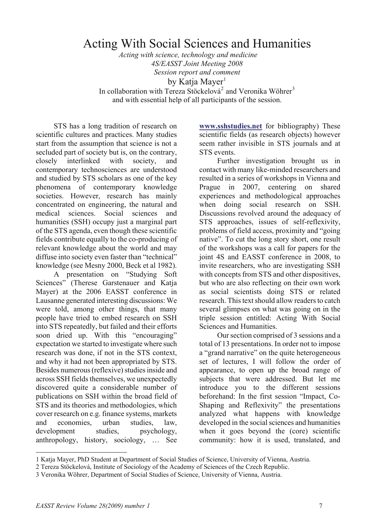## Acting With Social Sciences and Humanities

*Acting with science, technology and medicine 4S/EASST Joint Meeting 2008 Session report and comment* by Katja Mayer $1$ In collaboration with Tereza Stöckelová<sup>[2](#page-6-1)</sup> and Veronika Wöhrer<sup>[3](#page-6-2)</sup>

and with essential help of all participants of the session.

STS has a long tradition of research on scientific cultures and practices. Many studies start from the assumption that science is not a secluded part of society but is, on the contrary, closely interlinked with society, and contemporary technosciences are understood and studied by STS scholars as one of the key phenomena of contemporary knowledge societies. However, research has mainly concentrated on engineering, the natural and medical sciences. Social sciences and humanities (SSH) occupy just a marginal part of the STS agenda, even though these scientific fields contribute equally to the co-producing of relevant knowledge about the world and may diffuse into society even faster than "technical" knowledge (see Mesny 2000, Beck et al 1982).

A presentation on "Studying Soft Sciences" (Therese Garstenauer and Katja Mayer) at the 2006 EASST conference in Lausanne generated interesting discussions: We were told, among other things, that many people have tried to embed research on SSH into STS repeatedly, but failed and their efforts soon dried up. With this "encouraging" expectation we started to investigate where such research was done, if not in the STS context, and why it had not been appropriated by STS. Besides numerous (reflexive) studies inside and across SSH fields themselves, we unexpectedly discovered quite a considerable number of publications on SSH within the broad field of STS and its theories and methodologies, which cover research on e.g. finance systems, markets and economies, urban studies, law, development studies, psychology, anthropology, history, sociology, … See

**[www.sshstudies.net](http://www.sshstudies.net)** for bibliography) These scientific fields (as research objects) however seem rather invisible in STS journals and at STS events.

Further investigation brought us in contact with many like-minded researchers and resulted in a series of workshops in Vienna and Prague in 2007, centering on shared experiences and methodological approaches when doing social research on SSH. Discussions revolved around the adequacy of STS approaches, issues of self-reflexivity, problems of field access, proximity and "going native". To cut the long story short, one result of the workshops was a call for papers for the joint 4S and EASST conference in 2008, to invite researchers, who are investigating SSH with concepts from STS and other dispositives, but who are also reflecting on their own work as social scientists doing STS or related research. This text should allow readers to catch several glimpses on what was going on in the triple session entitled: Acting With Social Sciences and Humanities.

Our section comprised of 3 sessions and a total of 13 presentations. In order not to impose a "grand narrative" on the quite heterogeneous set of lectures, I will follow the order of appearance, to open up the broad range of subjects that were addressed. But let me introduce you to the different sessions beforehand: In the first session "Impact, Co-Shaping and Reflexivity" the presentations analyzed what happens with knowledge developed in the social sciences and humanities when it goes beyond the (core) scientific community: how it is used, translated, and

 $\overline{a}$ 

<span id="page-6-0"></span><sup>1</sup> Katja Mayer, PhD Student at Department of Social Studies of Science, University of Vienna, Austria.

<span id="page-6-1"></span><sup>2</sup> Tereza Stöckelová, Institute of Sociology of the Academy of Sciences of the Czech Republic.

<span id="page-6-2"></span><sup>3</sup> Veronika Wöhrer, Department of Social Studies of Science, University of Vienna, Austria.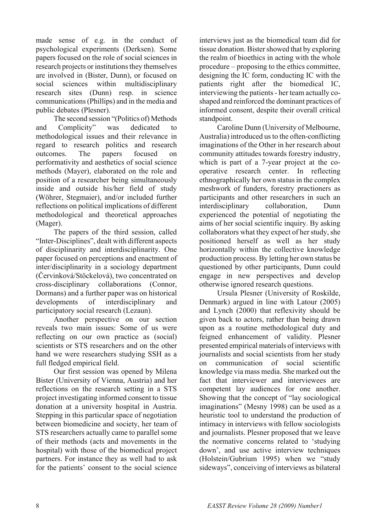made sense of e.g. in the conduct of psychological experiments (Derksen). Some papers focused on the role of social sciences in research projects or institutions they themselves are involved in (Bister, Dunn), or focused on social sciences within multidisciplinary research sites (Dunn) resp. in science communications (Phillips) and in the media and public debates (Plesner).

The second session "(Politics of) Methods and Complicity" was dedicated to methodological issues and their relevance in regard to research politics and research outcomes. The papers focused on performativity and aesthetics of social science methods (Mayer), elaborated on the role and position of a researcher being simultaneously inside and outside his/her field of study (Wöhrer, Stegmaier), and/or included further reflections on political implications of different methodological and theoretical approaches (Mager).

The papers of the third session, called "Inter-Disciplines", dealt with different aspects of disciplinarity and interdisciplinarity. One paper focused on perceptions and enactment of inter/disciplinarity in a sociology department (Červinková/Stöckelová), two concentrated on cross-disciplinary collaborations (Connor, Dormans) and a further paper was on historical developments of interdisciplinary and participatory social research (Lezaun).

Another perspective on our section reveals two main issues: Some of us were reflecting on our own practice as (social) scientists or STS researchers and on the other hand we were researchers studying SSH as a full fledged empirical field.

Our first session was opened by Milena Bister (University of Vienna, Austria) and her reflections on the research setting in a STS project investigating informed consent to tissue donation at a university hospital in Austria. Stepping in this particular space of negotiation between biomedicine and society, her team of STS researchers actually came to parallel some of their methods (acts and movements in the hospital) with those of the biomedical project partners. For instance they as well had to ask for the patients' consent to the social science

interviews just as the biomedical team did for tissue donation. Bister showed that by exploring the realm of bioethics in acting with the whole procedure – proposing to the ethics committee, designing the IC form, conducting IC with the patients right after the biomedical IC, interviewing the patients - her team actually coshaped and reinforced the dominant practices of informed consent, despite their overall critical standpoint.

Caroline Dunn (University of Melbourne, Australia) introduced us to the often-conflicting imaginations of the Other in her research about community attitudes towards forestry industry, which is part of a 7-year project at the cooperative research center. In reflecting ethnographically her own status in the complex meshwork of funders, forestry practioners as participants and other researchers in such an interdisciplinary collaboration, Dunn experienced the potential of negotiating the aims of her social scientific inquiry. By asking collaborators what they expect of her study, she positioned herself as well as her study horizontally within the collective knowledge production process. By letting her own status be questioned by other participants, Dunn could engage in new perspectives and develop otherwise ignored research questions.

Ursula Plesner (University of Roskilde, Denmark) argued in line with Latour (2005) and Lynch (2000) that reflexivity should be given back to actors, rather than being drawn upon as a routine methodological duty and feigned enhancement of validity. Plesner presented empirical materials of interviews with journalists and social scientists from her study on communication of social scientific knowledge via mass media. She marked out the fact that interviewer and interviewees are competent lay audiences for one another. Showing that the concept of "lay sociological imaginations" (Mesny 1998) can be used as a heuristic tool to understand the production of intimacy in interviews with fellow sociologists and journalists. Plesner proposed that we leave the normative concerns related to 'studying down', and use active interview techniques (Holstein/Gubrium 1995) when we "study sideways", conceiving of interviews as bilateral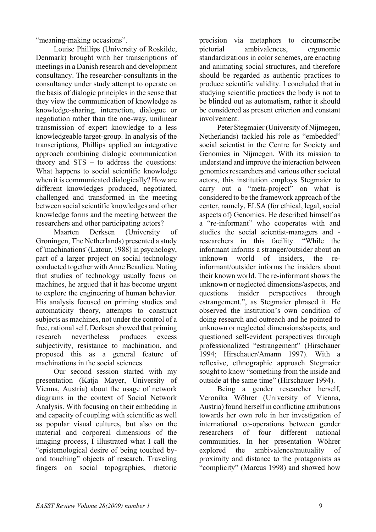"meaning-making occasions".

Louise Phillips (University of Roskilde, Denmark) brought with her transcriptions of meetings in a Danish research and development consultancy. The researcher-consultants in the consultancy under study attempt to operate on the basis of dialogic principles in the sense that they view the communication of knowledge as knowledge-sharing, interaction, dialogue or negotiation rather than the one-way, unilinear transmission of expert knowledge to a less knowledgeable target-group. In analysis of the transcriptions, Phillips applied an integrative approach combining dialogic communication theory and STS – to address the questions: What happens to social scientific knowledge when it is communicated dialogically? How are different knowledges produced, negotiated, challenged and transformed in the meeting between social scientific knowledges and other knowledge forms and the meeting between the researchers and other participating actors?

Maarten Derksen (University of Groningen, The Netherlands) presented a study of 'machinations' (Latour, 1988) in psychology, part of a larger project on social technology conducted together with Anne Beaulieu. Noting that studies of technology usually focus on machines, he argued that it has become urgent to explore the engineering of human behavior. His analysis focused on priming studies and automaticity theory, attempts to construct subjects as machines, not under the control of a free, rational self. Derksen showed that priming research nevertheless produces excess subjectivity, resistance to machination, and proposed this as a general feature of machinations in the social sciences

Our second session started with my presentation (Katja Mayer, University of Vienna, Austria) about the usage of network diagrams in the context of Social Network Analysis. With focusing on their embedding in and capacity of coupling with scientific as well as popular visual cultures, but also on the material and corporeal dimensions of the imaging process, I illustrated what I call the "epistemological desire of being touched byand touching" objects of research. Traveling fingers on social topographies, rhetoric

precision via metaphors to circumscribe pictorial ambivalences, ergonomic standardizations in color schemes, are enacting and animating social structures, and therefore should be regarded as authentic practices to produce scientific validity. I concluded that in studying scientific practices the body is not to be blinded out as automatism, rather it should be considered as present criterion and constant involvement.

Peter Stegmaier (University of Nijmegen, Netherlands) tackled his role as "embedded" social scientist in the Centre for Society and Genomics in Nijmegen. With its mission to understand and improve the interaction between genomics researchers and various other societal actors, this institution employs Stegmaier to carry out a "meta-project" on what is considered to be the framework approach of the center, namely, ELSA (for ethical, legal, social aspects of) Genomics. He described himself as a "re-informant" who cooperates with and studies the social scientist-managers and researchers in this facility. "While the informant informs a stranger/outsider about an unknown world of insiders, the reinformant/outsider informs the insiders about their known world. The re-informant shows the unknown or neglected dimensions/aspects, and questions insider perspectives through estrangement.", as Stegmaier phrased it. He observed the institution's own condition of doing research and outreach and he pointed to unknown or neglected dimensions/aspects, and questioned self-evident perspectives through professionalized "estrangement" (Hirschauer 1994; Hirschauer/Amann 1997). With a reflexive, ethnographic approach Stegmaier sought to know "something from the inside and outside at the same time" (Hirschauer 1994).

Being a gender researcher herself, Veronika Wöhrer (University of Vienna, Austria) found herself in conflicting attributions towards her own role in her investigation of international co-operations between gender researchers of four different national communities. In her presentation Wöhrer explored the ambivalence/mutuality of proximity and distance to the protagonists as "complicity" (Marcus 1998) and showed how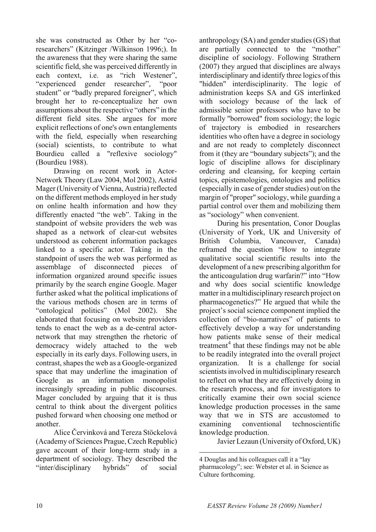she was constructed as Other by her "coresearchers" (Kitzinger /Wilkinson 1996;). In the awareness that they were sharing the same scientific field, she was perceived differently in each context, i.e. as "rich Westener", "experienced gender researcher", "poor student" or "badly prepared foreigner", which brought her to re-conceptualize her own assumptions about the respective "others" in the different field sites. She argues for more explicit reflections of one's own entanglements with the field, especially when researching (social) scientists, to contribute to what Bourdieu called a "reflexive sociology" (Bourdieu 1988).

Drawing on recent work in Actor-Network Theory (Law 2004, Mol 2002), Astrid Mager (University of Vienna, Austria) reflected on the different methods employed in her study on online health information and how they differently enacted "the web". Taking in the standpoint of website providers the web was shaped as a network of clear-cut websites understood as coherent information packages linked to a specific actor. Taking in the standpoint of users the web was performed as assemblage of disconnected pieces of information organized around specific issues primarily by the search engine Google. Mager further asked what the political implications of the various methods chosen are in terms of "ontological politics" (Mol 2002). She elaborated that focusing on website providers tends to enact the web as a de-central actornetwork that may strengthen the rhetoric of democracy widely attached to the web especially in its early days. Following users, in contrast, shapes the web as a Google-organized space that may underline the imagination of Google as an information monopolist increasingly spreading in public discourses. Mager concluded by arguing that it is thus central to think about the divergent politics pushed forward when choosing one method or another.

<span id="page-9-0"></span>Alice Červinková and Tereza Stöckelová (Academy of Sciences Prague, Czech Republic) gave account of their long-term study in a department of sociology. They described the "inter/disciplinary hybrids" of social

anthropology (SA) and gender studies (GS) that are partially connected to the "mother" discipline of sociology. Following Strathern (2007) they argued that disciplines are always interdisciplinary and identify three logics of this "hidden" interdisciplinarity. The logic of administration keeps SA and GS interlinked with sociology because of the lack of admissible senior professors who have to be formally "borrowed" from sociology; the logic of trajectory is embodied in researchers identities who often have a degree in sociology and are not ready to completely disconnect from it (they are "boundary subjects"); and the logic of discipline allows for disciplinary ordering and cleansing, for keeping certain topics, epistemologies, ontologies and politics (especially in case of gender studies) out/on the margin of "proper" sociology, while guarding a partial control over them and mobilizing them as "sociology" when convenient.

During his presentation, Conor Douglas (University of York, UK and University of British Columbia, Vancouver, Canada) reframed the question "How to integrate qualitative social scientific results into the development of a new prescribing algorithm for the anticoagulation drug warfarin?" into "How and why does social scientific knowledge matter in a multidisciplinary research project on pharmacogenetics?" He argued that while the project's social science component implied the collection of "bio-narratives" of patients to effectively develop a way for understanding how patients make sense of their medical treatment<sup>[4](#page-9-0)</sup> that these findings may not be able to be readily integrated into the overall project organization. It is a challenge for social scientists involved in multidisciplinary research to reflect on what they are effectively doing in the research process, and for investigators to critically examine their own social science knowledge production processes in the same way that we in STS are accustomed to examining conventional technoscientific knowledge production.

Javier Lezaun (University of Oxford, UK)

 $\overline{a}$ 

<sup>4</sup> Douglas and his colleagues call it a "lay pharmacology"; see: Webster et al. in Science as Culture forthcoming.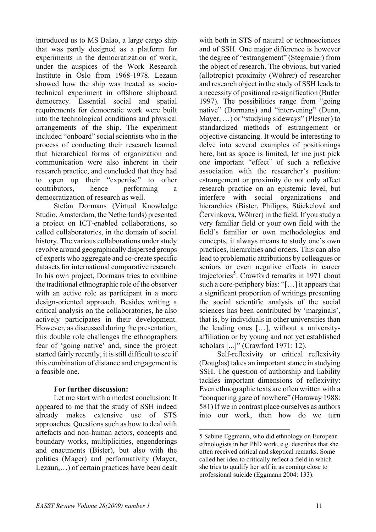introduced us to MS Balao, a large cargo ship that was partly designed as a platform for experiments in the democratization of work, under the auspices of the Work Research Institute in Oslo from 1968-1978. Lezaun showed how the ship was treated as sociotechnical experiment in offshore shipboard democracy. Essential social and spatial requirements for democratic work were built into the technological conditions and physical arrangements of the ship. The experiment included "onboard" social scientists who in the process of conducting their research learned that hierarchical forms of organization and communication were also inherent in their research practice, and concluded that they had to open up their "expertise" to other contributors, hence performing a democratization of research as well.

Stefan Dormans (Virtual Knowledge Studio, Amsterdam, the Netherlands) presented a project on ICT-enabled collaborations, so called collaboratories, in the domain of social history. The various collaborations under study revolve around geographically dispersed groups of experts who aggregate and co-create specific datasets for international comparative research. In his own project, Dormans tries to combine the traditional ethnographic role of the observer with an active role as participant in a more design-oriented approach. Besides writing a critical analysis on the collaboratories, he also actively participates in their development. However, as discussed during the presentation, this double role challenges the ethnographers fear of 'going native' and, since the project started fairly recently, it is still difficult to see if this combination of distance and engagement is a feasible one.

## **For further discussion:**

<span id="page-10-0"></span>Let me start with a modest conclusion: It appeared to me that the study of SSH indeed already makes extensive use of STS approaches. Questions such as how to deal with artefacts and non-human actors, concepts and boundary works, multiplicities, engenderings and enactments (Bister), but also with the politics (Mager) and performativity (Mayer, Lezaun,…) of certain practices have been dealt with both in STS of natural or technosciences and of SSH. One major difference is however the degree of "estrangement" (Stegmaier) from the object of research. The obvious, but varied (allotropic) proximity (Wöhrer) of researcher and research object in the study of SSH leads to a necessity of positional re-signification (Butler 1997). The possibilities range from "going native" (Dormans) and "intervening" (Dunn, Mayer, …) or "studying sideways" (Plesner) to standardized methods of estrangement or objective distancing. It would be interesting to delve into several examples of positionings here, but as space is limited, let me just pick one important "effect" of such a reflexive association with the researcher's position: estrangement or proximity do not only affect research practice on an epistemic level, but interfere with social organizations and hierarchies (Bister, Philipps, Stöckelová and Červinkova, Wöhrer) in the field. If you study a very familiar field or your own field with the field's familiar or own methodologies and concepts, it always means to study one's own practices, hierarchies and orders. This can also lead to problematic attributions by colleagues or seniors or even negative effects in career trajectories<sup>[5](#page-10-0)</sup>. Crawford remarks in 1971 about such a core-periphery bias: "[…] it appears that a significant proportion of writings presenting the social scientific analysis of the social sciences has been contributed by 'marginals', that is, by individuals in other universities than the leading ones […], without a universityaffiliation or by young and not yet established scholars [...]" (Crawford 1971: 12).

Self-reflexivity or critical reflexivity (Douglas) takes an important stance in studying SSH. The question of authorship and liability tackles important dimensions of reflexivity: Even ethnographic texts are often written with a "conquering gaze of nowhere" (Haraway 1988: 581) If we in contrast place ourselves as authors into our work, then how do we turn

 $\overline{a}$ 

<sup>5</sup> Sabine Eggmann, who did ethnology on European ethnologists in her PhD work, e.g. describes that she often received critical and skeptical remarks. Some called her idea to critically reflect a field in which she tries to qualify her self in as coming close to professional suicide (Eggmann 2004: 133).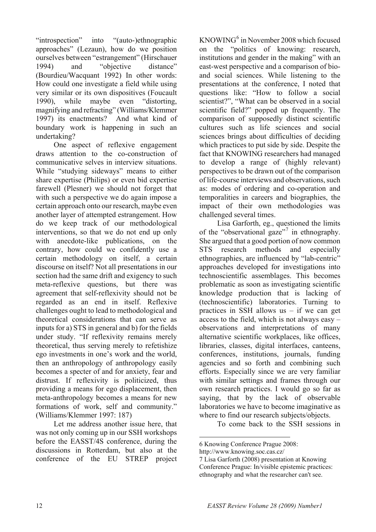"introspection" into "(auto-)ethnographic approaches" (Lezaun), how do we position ourselves between "estrangement" (Hirschauer 1994) and "objective distance" (Bourdieu/Wacquant 1992) In other words: How could one investigate a field while using very similar or its own dispositives (Foucault 1990), while maybe even "distorting, magnifying and refracting" (Williams/Klemmer 1997) its enactments? And what kind of boundary work is happening in such an undertaking?

One aspect of reflexive engagement draws attention to the co-construction of communicative selves in interview situations. While "studying sideways" means to either share expertise (Philips) or even bid expertise farewell (Plesner) we should not forget that with such a perspective we do again impose a certain approach onto our research, maybe even another layer of attempted estrangement. How do we keep track of our methodological interventions, so that we do not end up only with anecdote-like publications, on the contrary, how could we confidently use a certain methodology on itself, a certain discourse on itself? Not all presentations in our section had the same drift and exigency to such meta-reflexive questions, but there was agreement that self-reflexivity should not be regarded as an end in itself. Reflexive challenges ought to lead to methodological and theoretical considerations that can serve as inputs for a) STS in general and b) for the fields under study. "If reflexivity remains merely theoretical, thus serving merely to refetishize ego investments in one's work and the world, then an anthropology of anthropology easily becomes a specter of and for anxiety, fear and distrust. If reflexivity is politicized, thus providing a means for ego displacement, then meta-anthropology becomes a means for new formations of work, self and community." (Williams/Klemmer 1997: 187)

<span id="page-11-1"></span><span id="page-11-0"></span>Let me address another issue here, that was not only coming up in our SSH workshops before the EASST/4S conference, during the discussions in Rotterdam, but also at the conference of the EU STREP project

 $KNOWING<sup>6</sup>$  $KNOWING<sup>6</sup>$  $KNOWING<sup>6</sup>$  in November 2008 which focused on the "politics of knowing: research, institutions and gender in the making" with an east-west perspective and a comparison of bioand social sciences. While listening to the presentations at the conference, I noted that questions like: "How to follow a social scientist?", "What can be observed in a social scientific field?" popped up frequently. The comparison of supposedly distinct scientific cultures such as life sciences and social sciences brings about difficulties of deciding which practices to put side by side. Despite the fact that KNOWING researchers had managed to develop a range of (highly relevant) perspectives to be drawn out of the comparison of life-course interviews and observations, such as: modes of ordering and co-operation and temporalities in careers and biographies, the impact of their own methodologies was challenged several times.

Lisa Garforth, eg., questioned the limits of the "observational gaze"<sup>[7](#page-11-1)</sup> in ethnography. She argued that a good portion of now common STS research methods and especially ethnographies, are influenced by "lab-centric" approaches developed for investigations into technoscientific assemblages. This becomes problematic as soon as investigating scientific knowledge production that is lacking of (technoscientific) laboratories. Turning to practices in SSH allows us  $-$  if we can get access to the field, which is not always easy – observations and interpretations of many alternative scientific workplaces, like offices, libraries, classes, digital interfaces, canteens, conferences, institutions, journals, funding agencies and so forth and combining such efforts. Especially since we are very familiar with similar settings and frames through our own research practices. I would go so far as saying, that by the lack of observable laboratories we have to become imaginative as where to find our research subjects/objects.

To come back to the SSH sessions in

 $\overline{a}$ 6 Knowing Conference Prague 2008:

http://www.knowing.soc.cas.cz/

<sup>7</sup> Lisa Garforth (2008) presentation at Knowing Conference Prague: In/visible epistemic practices: ethnography and what the researcher can't see.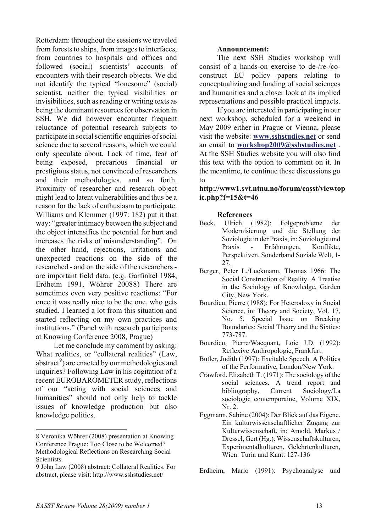Rotterdam: throughout the sessions we traveled from forests to ships, from images to interfaces, from countries to hospitals and offices and followed (social) scientists' accounts of encounters with their research objects. We did not identify the typical "lonesome" (social) scientist, neither the typical visibilities or invisibilities, such as reading or writing texts as being the dominant resources for observation in SSH. We did however encounter frequent reluctance of potential research subjects to participate in social scientific enquiries of social science due to several reasons, which we could only speculate about. Lack of time, fear of being exposed, precarious financial or prestigious status, not convinced of researchers and their methodologies, and so forth. Proximity of researcher and research object might lead to latent vulnerabilities and thus be a reason for the lack of enthusiasm to participate. Williams and Klemmer (1997: 182) put it that way: "greater intimacy between the subject and the object intensifies the potential for hurt and increases the risks of misunderstanding". On the other hand, rejections, irritations and unexpected reactions on the side of the researched - and on the side of the researchers are important field data. (e.g. Garfinkel 1984, Erdheim 1991, Wöhrer 2008[8](#page-12-0)) There are sometimes even very positive reactions: "For once it was really nice to be the one, who gets studied. I learned a lot from this situation and started reflecting on my own practices and institutions." (Panel with research participants at Knowing Conference 2008, Prague)

Let me conclude my comment by asking: What realities, or "collateral realities" (Law, abstract<sup>[9](#page-12-1)</sup>) are enacted by our methodologies and inquiries? Following Law in his cogitation of a recent EUROBAROMETER study, reflections of our "acting with social sciences and humanities" should not only help to tackle issues of knowledge production but also knowledge politics.

#### **Announcement:**

The next SSH Studies workshop will consist of a hands-on exercise to de-/re-/coconstruct EU policy papers relating to conceptualizing and funding of social sciences and humanities and a closer look at its implied representations and possible practical impacts.

If you are interested in participating in our next workshop, scheduled for a weekend in May 2009 either in Prague or Vienna, please visit the website: **[www.sshstudies.net](http://www.sshstudies.net)** or send an email to **[workshop2009@sshstudies.net](mailto:workshop2009@sshstudies.net)** . At the SSH Studies website you will also find this text with the option to comment on it. In the meantime, to continue these discussions go to

## **http://www1.svt.ntnu.no/forum/easst/viewtop ic.php?f=15&t=46**

#### **References**

- Beck, Ulrich (1982): Folgeprobleme der Modernisierung und die Stellung der Soziologie in der Praxis, in: Soziologie und Praxis - Erfahrungen, Konflikte, Perspektiven, Sonderband Soziale Welt, 1- 27.
- Berger, Peter L./Luckmann, Thomas 1966: The Social Construction of Reality. A Treatise in the Sociology of Knowledge, Garden City, New York.
- Bourdieu, Pierre (1988): For Heterodoxy in Social Science, in: Theory and Society, Vol. 17, No. 5, Special Issue on Breaking Boundaries: Social Theory and the Sixties: 773-787.
- Bourdieu, Pierre/Wacquant, Loic J.D. (1992): Reflexive Anthropologie, Frankfurt.
- Butler, Judith (1997): Excitable Speech. A Politics of the Performative, London/New York.
- Crawford, Elizabeth T. (1971): The sociology of the social sciences. A trend report and bibliography, Current Sociology/La sociologie contemporaine, Volume XIX, Nr. 2.
- Eggmann, Sabine (2004): Der Blick auf das Eigene. Ein kulturwissenschaftlicher Zugang zur Kulturwissenschaft, in: Arnold, Markus / Dressel, Gert (Hg.): Wissenschaftskulturen, Experimentalkulturen, Gelehrtenkulturen, Wien: Turia und Kant: 127-136

Erdheim, Mario (1991): Psychoanalyse und

 $\overline{a}$ 

<span id="page-12-0"></span><sup>8</sup> Veronika Wöhrer (2008) presentation at Knowing Conference Prague: Too Close to be Welcomed? Methodological Reflections on Researching Social Scientists.

<span id="page-12-1"></span><sup>9</sup> John Law (2008) abstract: Collateral Realities. For abstract, please visit: http://www.sshstudies.net/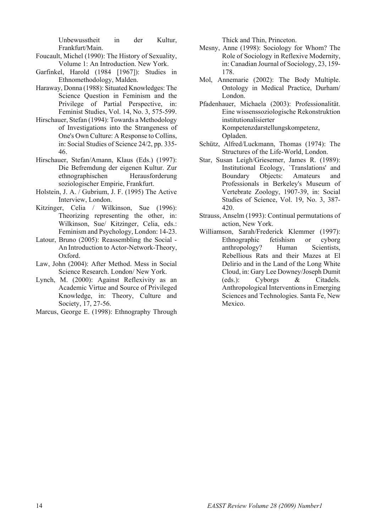Unbewusstheit in der Kultur, Frankfurt/Main.

- Foucault, Michel (1990): The History of Sexuality, Volume 1: An Introduction. New York.
- Garfinkel, Harold (1984 [1967]): Studies in Ethnomethodology, Malden.
- Haraway, Donna (1988): Situated Knowledges: The Science Question in Feminism and the Privilege of Partial Perspective, in: Feminist Studies, Vol. 14, No. 3, 575-599.
- Hirschauer, Stefan (1994): Towards a Methodology of Investigations into the Strangeness of One's Own Culture: A Response to Collins, in: Social Studies of Science 24/2, pp. 335- 46.
- Hirschauer, Stefan/Amann, Klaus (Eds.) (1997): Die Befremdung der eigenen Kultur. Zur ethnographischen Herausforderung soziologischer Empirie, Frankfurt.
- Holstein, J. A. / Gubrium, J. F. (1995) The Active Interview, London.
- Kitzinger, Celia / Wilkinson, Sue (1996): Theorizing representing the other, in: Wilkinson, Sue/ Kitzinger, Celia, eds.: Feminism and Psychology, London: 14-23.
- Latour, Bruno (2005): Reassembling the Social An Introduction to Actor-Network-Theory, Oxford.
- Law, John (2004): After Method. Mess in Social Science Research. London/ New York.
- Lynch, M. (2000): Against Reflexivity as an Academic Virtue and Source of Privileged Knowledge, in: Theory, Culture and Society, 17, 27-56.
- Marcus, George E. (1998): Ethnography Through

Thick and Thin, Princeton.

- Mesny, Anne (1998): Sociology for Whom? The Role of Sociology in Reflexive Modernity, in: Canadian Journal of Sociology, 23, 159- 178.
- Mol, Annemarie (2002): The Body Multiple. Ontology in Medical Practice, Durham/ London.
- Pfadenhauer, Michaela (2003): Professionalität. Eine wissenssoziologische Rekonstruktion institutionalisierter Kompetenzdarstellungskompetenz, Opladen.
- Schütz, Alfred/Luckmann, Thomas (1974): The Structures of the Life-World, London.
- Star, Susan Leigh/Griesemer, James R. (1989): Institutional Ecology, `Translations' and Boundary Objects: Amateurs and Professionals in Berkeley's Museum of Vertebrate Zoology, 1907-39, in: Social Studies of Science, Vol. 19, No. 3, 387- 420.
- Strauss, Anselm (1993): Continual permutations of action, New York.
- Williamson, Sarah/Frederick Klemmer (1997): Ethnographic fetishism or cyborg anthropology? Human Scientists, Rebellious Rats and their Mazes at El Delirio and in the Land of the Long White Cloud, in: Gary Lee Downey/Joseph Dumit (eds.): Cyborgs & Citadels. Anthropological Interventions in Emerging Sciences and Technologies. Santa Fe, New Mexico.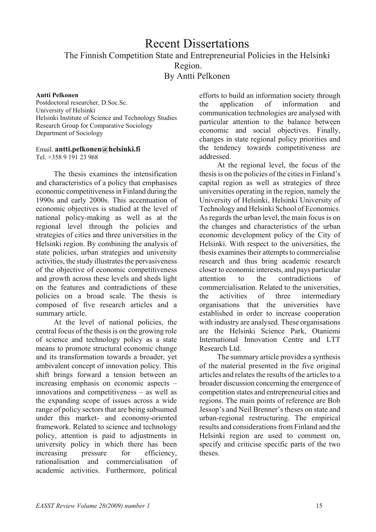## Recent Dissertations The Finnish Competition State and Entrepreneurial Policies in the Helsinki Region. By Antti Pelkonen

#### **Antti Pelkonen**

Postdoctoral researcher, D.Soc.Sc. University of Helsinki Helsinki Institute of Science and Technology Studies Research Group for Comparative Sociology Department of Sociology

## Email. **[antti.pelkonen@helsinki.fi](mailto:antti.pelkonen@helsinki.fi)**

Tel. +358 9 191 23 968

The thesis examines the intensification and characteristics of a policy that emphasises economic competitiveness in Finland during the 1990s and early 2000s. This accentuation of economic objectives is studied at the level of national policy-making as well as at the regional level through the policies and strategies of cities and three universities in the Helsinki region. By combining the analysis of state policies, urban strategies and university activities, the study illustrates the pervasiveness of the objective of economic competitiveness and growth across these levels and sheds light on the features and contradictions of these policies on a broad scale. The thesis is composed of five research articles and a summary article.

At the level of national policies, the central focus of the thesis is on the growing role of science and technology policy as a state means to promote structural economic change and its transformation towards a broader, yet ambivalent concept of innovation policy. This shift brings forward a tension between an increasing emphasis on economic aspects – innovations and competitiveness – as well as the expanding scope of issues across a wide range of policy sectors that are being subsumed under this market- and economy-oriented framework. Related to science and technology policy, attention is paid to adjustments in university policy in which there has been increasing pressure for efficiency, rationalisation and commercialisation of academic activities. Furthermore, political

efforts to build an information society through the application of information and communication technologies are analysed with particular attention to the balance between economic and social objectives. Finally, changes in state regional policy priorities and the tendency towards competitiveness are addressed.

At the regional level, the focus of the thesis is on the policies of the cities in Finland's capital region as well as strategies of three universities operating in the region, namely the University of Helsinki, Helsinki University of Technology and Helsinki School of Economics. As regards the urban level, the main focus is on the changes and characteristics of the urban economic development policy of the City of Helsinki. With respect to the universities, the thesis examines their attempts to commercialise research and thus bring academic research closer to economic interests, and pays particular attention to the contradictions commercialisation. Related to the universities, the activities of three intermediary organisations that the universities have established in order to increase cooperation with industry are analysed. These organisations are the Helsinki Science Park, Otaniemi International Innovation Centre and LTT Research Ltd.

The summary article provides a synthesis of the material presented in the five original articles and relates the results of the articles to a broader discussion concerning the emergence of competition states and entrepreneurial cities and regions. The main points of reference are Bob Jessop's and Neil Brenner's theses on state and urban-regional restructuring. The empirical results and considerations from Finland and the Helsinki region are used to comment on, specify and criticise specific parts of the two theses.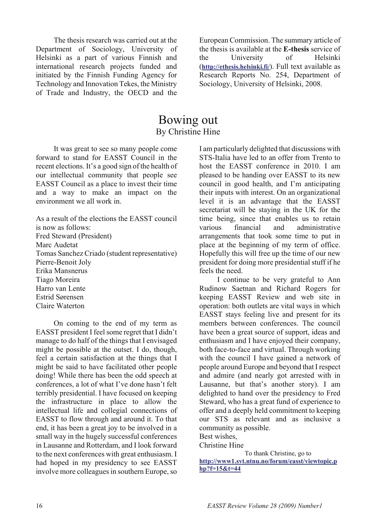The thesis research was carried out at the Department of Sociology, University of Helsinki as a part of various Finnish and international research projects funded and initiated by the Finnish Funding Agency for Technology and Innovation Tekes, the Ministry of Trade and Industry, the OECD and the

European Commission. The summary article of the thesis is available at the **[E-thesis](https://oa.doria.fi/handle/10024/37393)** service of the University of Helsinki (**<http://ethesis.helsinki.fi/>**). Full text available as Research Reports No. 254, Department of Sociology, University of Helsinki, 2008.

## Bowing out By Christine Hine

It was great to see so many people come forward to stand for EASST Council in the recent elections. It's a good sign of the health of our intellectual community that people see EASST Council as a place to invest their time and a way to make an impact on the environment we all work in.

As a result of the elections the EASST council is now as follows: Fred Steward (President) Marc Audetat Tomas Sanchez Criado (student representative) Pierre-Benoit Joly Erika Mansnerus Tiago Moreira Harro van Lente Estrid Sørensen Claire Waterton

On coming to the end of my term as EASST president I feel some regret that I didn't manage to do half of the things that I envisaged might be possible at the outset. I do, though, feel a certain satisfaction at the things that I might be said to have facilitated other people doing! While there has been the odd speech at conferences, a lot of what I've done hasn't felt terribly presidential. I have focused on keeping the infrastructure in place to allow the intellectual life and collegial connections of EASST to flow through and around it. To that end, it has been a great joy to be involved in a small way in the hugely successful conferences in Lausanne and Rotterdam, and I look forward to the next conferences with great enthusiasm. I had hoped in my presidency to see EASST involve more colleagues in southern Europe, so

I am particularly delighted that discussions with STS-Italia have led to an offer from Trento to host the EASST conference in 2010. I am pleased to be handing over EASST to its new council in good health, and I'm anticipating their inputs with interest. On an organizational level it is an advantage that the EASST secretariat will be staying in the UK for the time being, since that enables us to retain various financial and administrative arrangements that took some time to put in place at the beginning of my term of office. Hopefully this will free up the time of our new president for doing more presidential stuff if he feels the need.

I continue to be very grateful to Ann Rudinow Saetnan and Richard Rogers for keeping EASST Review and web site in operation: both outlets are vital ways in which EASST stays feeling live and present for its members between conferences. The council have been a great source of support, ideas and enthusiasm and I have enjoyed their company, both face-to-face and virtual. Through working with the council I have gained a network of people around Europe and beyond that I respect and admire (and nearly got arrested with in Lausanne, but that's another story). I am delighted to hand over the presidency to Fred Steward, who has a great fund of experience to offer and a deeply held commitment to keeping our STS as relevant and as inclusive a community as possible.

Best wishes,

Christine Hine

 To thank Christine, go to **[http://www1.svt.ntnu.no/forum/easst/viewtopic.p](http://www1.svt.ntnu.no/forum/easst/viewtopic.php?f=15&t=44) [hp?f=15&t=44](http://www1.svt.ntnu.no/forum/easst/viewtopic.php?f=15&t=44)**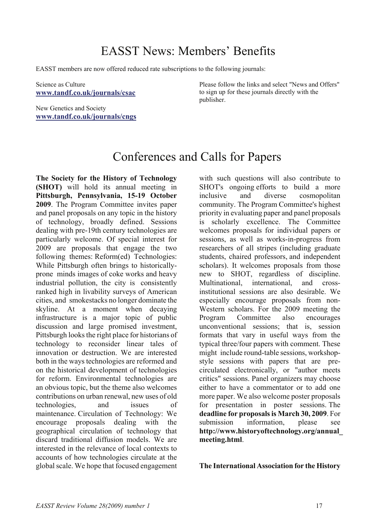# EASST News: Members' Benefits

EASST members are now offered reduced rate subscriptions to the following journals:

Science as Culture **<www.tandf.co.uk/journals/csac>**

New Genetics and Society **<www.tandf.co.uk/journals/cngs>**

Please follow the links and select "News and Offers" to sign up for these journals directly with the publisher.

# Conferences and Calls for Papers

**The Society for the History of Technology (SHOT)** will hold its annual meeting in **Pittsburgh, Pennsylvania, 15-19 October 2009**. The Program Committee invites paper and panel proposals on any topic in the history of technology, broadly defined. Sessions dealing with pre-19th century technologies are particularly welcome. Of special interest for 2009 are proposals that engage the two following themes: Reform(ed) Technologies: While Pittsburgh often brings to historicallyprone minds images of coke works and heavy industrial pollution, the city is consistently ranked high in livability surveys of American cities, and smokestacks no longer dominate the skyline. At a moment when decaying infrastructure is a major topic of public discussion and large promised investment, Pittsburgh looks the right place for historians of technology to reconsider linear tales of innovation or destruction. We are interested both in the ways technologies are reformed and on the historical development of technologies for reform. Environmental technologies are an obvious topic, but the theme also welcomes contributions on urban renewal, new uses of old technologies, and issues of maintenance. Circulation of Technology: We encourage proposals dealing with the geographical circulation of technology that discard traditional diffusion models. We are interested in the relevance of local contexts to accounts of how technologies circulate at the global scale. We hope that focused engagement

with such questions will also contribute to SHOT's ongoing efforts to build a more inclusive and diverse cosmopolitan community. The Program Committee's highest priority in evaluating paper and panel proposals is scholarly excellence. The Committee welcomes proposals for individual papers or sessions, as well as works-in-progress from researchers of all stripes (including graduate students, chaired professors, and independent scholars). It welcomes proposals from those new to SHOT, regardless of discipline. Multinational international and crossinstitutional sessions are also desirable. We especially encourage proposals from non-Western scholars. For the 2009 meeting the Program Committee also encourages unconventional sessions; that is, session formats that vary in useful ways from the typical three/four papers with comment. These might include round-table sessions, workshopstyle sessions with papers that are precirculated electronically, or "author meets critics" sessions. Panel organizers may choose either to have a commentator or to add one more paper. We also welcome poster proposals for presentation in poster sessions. The **deadline for proposals is March 30, 2009**. For submission information, please see **http://www.historyoftechnology.org/annual\_ meeting.html**.

**The International Association for the History**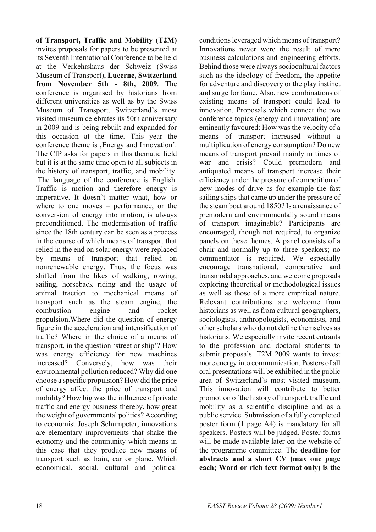**of Transport, Traffic and Mobility (T2M)** invites proposals for papers to be presented at its Seventh International Conference to be held at the Verkehrshaus der Schweiz (Swiss Museum of Transport), **Lucerne, Switzerland from November 5th - 8th, 2009**. The conference is organised by historians from different universities as well as by the Swiss Museum of Transport. Switzerland's most visited museum celebrates its 50th anniversary in 2009 and is being rebuilt and expanded for this occasion at the time. This year the conference theme is , Energy and Innovation'. The CfP asks for papers in this thematic field but it is at the same time open to all subjects in the history of transport, traffic, and mobility. The language of the conference is English. Traffic is motion and therefore energy is imperative. It doesn't matter what, how or where to one moves – performance, or the conversion of energy into motion, is always preconditioned. The modernisation of traffic since the 18th century can be seen as a process in the course of which means of transport that relied in the end on solar energy were replaced by means of transport that relied on nonrenewable energy. Thus, the focus was shifted from the likes of walking, rowing, sailing, horseback riding and the usage of animal traction to mechanical means of transport such as the steam engine, the combustion engine and rocket propulsion.Where did the question of energy figure in the acceleration and intensification of traffic? Where in the choice of a means of transport, in the question 'street or ship'? How was energy efficiency for new machines increased? Conversely, how was their environmental pollution reduced? Why did one choose a specific propulsion? How did the price of energy affect the price of transport and mobility? How big was the influence of private traffic and energy business thereby, how great the weight of governmental politics? According to economist Joseph Schumpeter, innovations are elementary improvements that shake the economy and the community which means in this case that they produce new means of transport such as train, car or plane. Which economical, social, cultural and political

conditions leveraged which means of transport? Innovations never were the result of mere business calculations and engineering efforts. Behind those were always sociocultural factors such as the ideology of freedom, the appetite for adventure and discovery or the play instinct and surge for fame. Also, new combinations of existing means of transport could lead to innovation. Proposals which connect the two conference topics (energy and innovation) are eminently favoured: How was the velocity of a means of transport increased without a multiplication of energy consumption? Do new means of transport prevail mainly in times of war and crisis? Could premodern and antiquated means of transport increase their efficiency under the pressure of competition of new modes of drive as for example the fast sailing ships that came up under the pressure of the steam boat around 1850? Is a renaissance of premodern and environmentally sound means of transport imaginable? Participants are encouraged, though not required, to organize panels on these themes. A panel consists of a chair and normally up to three speakers; no commentator is required. We especially encourage transnational, comparative and transmodal approaches, and welcome proposals exploring theoretical or methodological issues as well as those of a more empirical nature. Relevant contributions are welcome from historians as well as from cultural geographers, sociologists, anthropologists, economists, and other scholars who do not define themselves as historians. We especially invite recent entrants to the profession and doctoral students to submit proposals. T2M 2009 wants to invest more energy into communication. Posters of all oral presentations will be exhibited in the public area of Switzerland's most visited museum. This innovation will contribute to better promotion of the history of transport, traffic and mobility as a scientific discipline and as a public service. Submission of a fully completed poster form (1 page A4) is mandatory for all speakers. Posters will be judged. Poster forms will be made available later on the website of the programme committee. The **deadline for abstracts and a short CV (max one page each; Word or rich text format only) is the**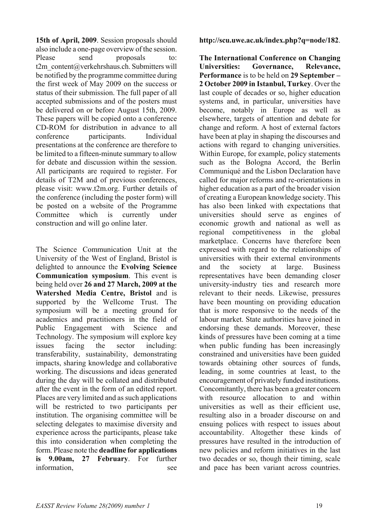**15th of April, 2009**. Session proposals should also include a one-page overview of the session. Please send proposals to: t2m\_content@verkehrshaus.ch. Submitters will be notified by the programme committee during the first week of May 2009 on the success or status of their submission. The full paper of all accepted submissions and of the posters must be delivered on or before August 15th, 2009. These papers will be copied onto a conference CD-ROM for distribution in advance to all conference participants. Individual presentations at the conference are therefore to be limited to a fifteen-minute summary to allow for debate and discussion within the session. All participants are required to register. For details of T2M and of previous conferences, please visit: www.t2m.org. Further details of the conference (including the poster form) will be posted on a website of the Programme Committee which is currently under construction and will go online later.

The Science Communication Unit at the University of the West of England, Bristol is delighted to announce the **Evolving Science Communication symposium**. This event is being held over **26 and 27 March, 2009 at the Watershed Media Centre, Bristol** and is supported by the Wellcome Trust. The symposium will be a meeting ground for academics and practitioners in the field of Public Engagement with Science and Technology. The symposium will explore key issues facing the sector including: transferability, sustainability, demonstrating impacts, sharing knowledge and collaborative working. The discussions and ideas generated during the day will be collated and distributed after the event in the form of an edited report. Places are very limited and as such applications will be restricted to two participants per institution. The organising committee will be selecting delegates to maximise diversity and experience across the participants, please take this into consideration when completing the form. Please note the **deadline for applications is 9.00am, 27 February**. For further information, see

**http://scu.uwe.ac.uk/index.php?q=node/182**.

**The International Conference on Changing Universities: Governance, Relevance, Performance** is to be held on **29 September – 2 October 2009 in Istanbul, Turkey**. Over the last couple of decades or so, higher education systems and, in particular, universities have become, notably in Europe as well as elsewhere, targets of attention and debate for change and reform. A host of external factors have been at play in shaping the discourses and actions with regard to changing universities. Within Europe, for example, policy statements such as the Bologna Accord, the Berlin Communiqué and the Lisbon Declaration have called for major reforms and re-orientations in higher education as a part of the broader vision of creating a European knowledge society. This has also been linked with expectations that universities should serve as engines of economic growth and national as well as regional competitiveness in the global marketplace. Concerns have therefore been expressed with regard to the relationships of universities with their external environments and the society at large. Business representatives have been demanding closer university-industry ties and research more relevant to their needs. Likewise, pressures have been mounting on providing education that is more responsive to the needs of the labour market. State authorities have joined in endorsing these demands. Moreover, these kinds of pressures have been coming at a time when public funding has been increasingly constrained and universities have been guided towards obtaining other sources of funds, leading, in some countries at least, to the encouragement of privately funded institutions. Concomitantly, there has been a greater concern with resource allocation to and within universities as well as their efficient use resulting also in a broader discourse on and ensuing polices with respect to issues about accountability. Altogether these kinds of pressures have resulted in the introduction of new policies and reform initiatives in the last two decades or so, though their timing, scale and pace has been variant across countries.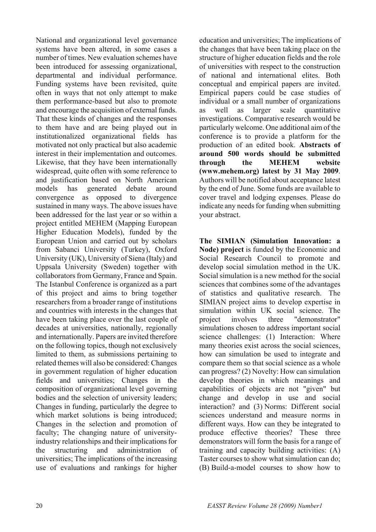National and organizational level governance systems have been altered, in some cases a number of times. New evaluation schemes have been introduced for assessing organizational, departmental and individual performance. Funding systems have been revisited, quite often in ways that not only attempt to make them performance-based but also to promote and encourage the acquisition of external funds. That these kinds of changes and the responses to them have and are being played out in institutionalized organizational fields has motivated not only practical but also academic interest in their implementation and outcomes. Likewise, that they have been internationally widespread, quite often with some reference to and justification based on North American models has generated debate around convergence as opposed to divergence sustained in many ways. The above issues have been addressed for the last year or so within a project entitled MEHEM (Mapping European Higher Education Models), funded by the European Union and carried out by scholars from Sabanci University (Turkey), Oxford University (UK), University of Siena (Italy) and Uppsala University (Sweden) together with collaborators from Germany, France and Spain. The Istanbul Conference is organized as a part of this project and aims to bring together researchers from a broader range of institutions and countries with interests in the changes that have been taking place over the last couple of decades at universities, nationally, regionally and internationally. Papers are invited therefore on the following topics, though not exclusively limited to them, as submissions pertaining to related themes will also be considered: Changes in government regulation of higher education fields and universities; Changes in the composition of organizational level governing bodies and the selection of university leaders; Changes in funding, particularly the degree to which market solutions is being introduced; Changes in the selection and promotion of faculty; The changing nature of universityindustry relationships and their implications for the structuring and administration of universities; The implications of the increasing use of evaluations and rankings for higher

education and universities; The implications of the changes that have been taking place on the structure of higher education fields and the role of universities with respect to the construction of national and international elites. Both conceptual and empirical papers are invited. Empirical papers could be case studies of individual or a small number of organizations as well as larger scale quantitative investigations. Comparative research would be particularly welcome. One additional aim of the conference is to provide a platform for the production of an edited book. **Abstracts of around 500 words should be submitted through the MEHEM website (www.mehem.org) latest by 31 May 2009**. Authors will be notified about acceptance latest by the end of June. Some funds are available to cover travel and lodging expenses. Please do indicate any needs for funding when submitting your abstract.

**The SIMIAN (Simulation Innovation: a Node) project** is funded by the Economic and Social Research Council to promote and develop social simulation method in the UK. Social simulation is a new method for the social sciences that combines some of the advantages of statistics and qualitative research. The SIMIAN project aims to develop expertise in simulation within UK social science. The project involves three "demonstrator" simulations chosen to address important social science challenges: (1) Interaction: Where many theories exist across the social sciences, how can simulation be used to integrate and compare them so that social science as a whole can progress? (2) Novelty: How can simulation develop theories in which meanings and capabilities of objects are not "given" but change and develop in use and social interaction? and (3) Norms: Different social sciences understand and measure norms in different ways. How can they be integrated to produce effective theories? These three demonstrators will form the basis for a range of training and capacity building activities: (A) Taster courses to show what simulation can do; (B) Build-a-model courses to show how to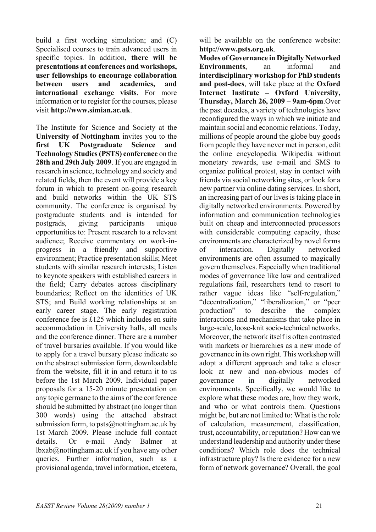build a first working simulation; and (C) Specialised courses to train advanced users in specific topics. In addition, **there will be presentations at conferences and workshops, user fellowships to encourage collaboration between users and academics, and international exchange visits**. For more information or to register for the courses, please visit **http://www.simian.ac.uk**.

The Institute for Science and Society at the **University of Nottingham** invites you to the **first UK Postgraduate Science and Technology Studies (PSTS) conference** on the **28th and 29th July 2009**. If you are engaged in research in science, technology and society and related fields, then the event will provide a key forum in which to present on-going research and build networks within the UK STS community. The conference is organised by postgraduate students and is intended for postgrads, giving participants unique opportunities to: Present research to a relevant audience; Receive commentary on work-inprogress in a friendly and supportive environment; Practice presentation skills; Meet students with similar research interests; Listen to keynote speakers with established careers in the field; Carry debates across disciplinary boundaries; Reflect on the identities of UK STS; and Build working relationships at an early career stage. The early registration conference fee is £125 which includes en suite accommodation in University halls, all meals and the conference dinner. There are a number of travel bursaries available. If you would like to apply for a travel bursary please indicate so on the abstract submission form, downloadable from the website, fill it in and return it to us before the 1st March 2009. Individual paper proposals for a 15-20 minute presentation on any topic germane to the aims of the conference should be submitted by abstract (no longer than 300 words) using the attached abstract submission form, to  $psts@nottingham.ac.uk$  by 1st March 2009. Please include full contact details. Or e-mail Andy Balmer at lbxab@nottingham.ac.uk if you have any other queries. Further information, such as a provisional agenda, travel information, etcetera,

will be available on the conference website: **http://www.psts.org.uk**.

**Modes of Governance in Digitally Networked Environments**, an informal and **interdisciplinary workshop for PhD students and post-docs**, will take place at the **Oxford Internet Institute – Oxford University, Thursday, March 26, 2009 – 9am-6pm**.Over the past decades, a variety of technologies have reconfigured the ways in which we initiate and maintain social and economic relations. Today, millions of people around the globe buy goods from people they have never met in person, edit the online encyclopedia Wikipedia without monetary rewards, use e-mail and SMS to organize political protest, stay in contact with friends via social networking sites, or look for a new partner via online dating services. In short, an increasing part of our lives is taking place in digitally networked environments. Powered by information and communication technologies built on cheap and interconnected processors with considerable computing capacity, these environments are characterized by novel forms of interaction. Digitally networked environments are often assumed to magically govern themselves. Especially when traditional modes of governance like law and centralized regulations fail, researchers tend to resort to rather vague ideas like "self-regulation," "decentralization," "liberalization," or "peer production" to describe the complex interactions and mechanisms that take place in large-scale, loose-knit socio-technical networks. Moreover, the network itself is often contrasted with markets or hierarchies as a new mode of governance in its own right. This workshop will adopt a different approach and take a closer look at new and non-obvious modes of governance in digitally networked environments. Specifically, we would like to explore what these modes are, how they work, and who or what controls them. Questions might be, but are not limited to: What is the role of calculation, measurement, classification, trust, accountability, or reputation? How can we understand leadership and authority under these conditions? Which role does the technical infrastructure play? Is there evidence for a new form of network governance? Overall, the goal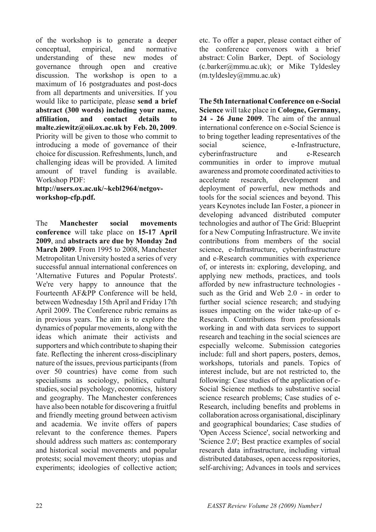of the workshop is to generate a deeper conceptual, empirical, and normative understanding of these new modes of governance through open and creative discussion. The workshop is open to a maximum of 16 postgraduates and post-docs from all departments and universities. If you would like to participate, please **send a brief abstract (300 words) including your name, affiliation, and contact details to malte.ziewitz@oii.ox.ac.uk by Feb. 20, 2009**. Priority will be given to those who commit to introducing a mode of governance of their choice for discussion. Refreshments, lunch, and challenging ideas will be provided. A limited amount of travel funding is available. Workshop PDF:

**http://users.ox.ac.uk/~kebl2964/netgovworkshop-cfp.pdf.** 

The **Manchester social movements conference** will take place on **15-17 April 2009**, and **abstracts are due by Monday 2nd March 2009**. From 1995 to 2008, Manchester Metropolitan University hosted a series of very successful annual international conferences on 'Alternative Futures and Popular Protests'. We're very happy to announce that the Fourteenth AF&PP Conference will be held, between Wednesday 15th April and Friday 17th April 2009. The Conference rubric remains as in previous years. The aim is to explore the dynamics of popular movements, along with the ideas which animate their activists and supporters and which contribute to shaping their fate. Reflecting the inherent cross-disciplinary nature of the issues, previous participants (from over 50 countries) have come from such specialisms as sociology, politics, cultural studies, social psychology, economics, history and geography. The Manchester conferences have also been notable for discovering a fruitful and friendly meeting ground between activism and academia. We invite offers of papers relevant to the conference themes. Papers should address such matters as: contemporary and historical social movements and popular protests; social movement theory; utopias and experiments; ideologies of collective action;

etc. To offer a paper, please contact either of the conference convenors with a brief abstract: Colin Barker, Dept. of Sociology (c.barker@mmu.ac.uk); or Mike Tyldesley (m.tyldesley@mmu.ac.uk)

**The 5th International Conference on e-Social Science** will take place in **Cologne, Germany, 24 - 26 June 2009**. The aim of the annual international conference on e-Social Science is to bring together leading representatives of the social science, e-Infrastructure, cyberinfrastructure and e-Research communities in order to improve mutual awareness and promote coordinated activities to accelerate research, development and deployment of powerful, new methods and tools for the social sciences and beyond. This years Keynotes include Ian Foster, a pioneer in developing advanced distributed computer technologies and author of The Grid: Blueprint for a New Computing Infrastructure. We invite contributions from members of the social science, e-Infrastructure, cyberinfrastructure and e-Research communities with experience of, or interests in: exploring, developing, and applying new methods, practices, and tools afforded by new infrastructure technologies such as the Grid and Web 2.0 - in order to further social science research; and studying issues impacting on the wider take-up of e-Research. Contributions from professionals working in and with data services to support research and teaching in the social sciences are especially welcome. Submission categories include: full and short papers, posters, demos, workshops, tutorials and panels. Topics of interest include, but are not restricted to, the following: Case studies of the application of e-Social Science methods to substantive social science research problems; Case studies of e-Research, including benefits and problems in collaboration across organisational, disciplinary and geographical boundaries; Case studies of 'Open Access Science', social networking and 'Science 2.0'; Best practice examples of social research data infrastructure, including virtual distributed databases, open access repositories, self-archiving; Advances in tools and services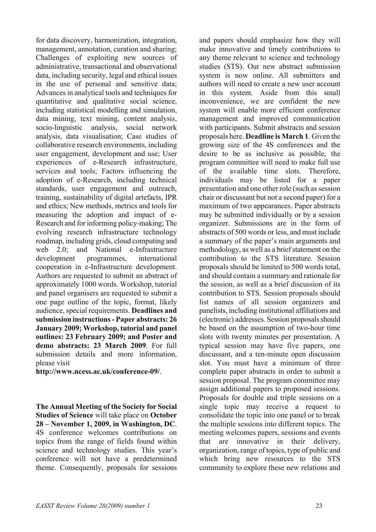for data discovery, harmonization, integration, management, annotation, curation and sharing; Challenges of exploiting new sources of administrative, transactional and observational data, including security, legal and ethical issues in the use of personal and sensitive data; Advances in analytical tools and techniques for quantitative and qualitative social science, including statistical modelling and simulation, data mining, text mining, content analysis, socio-linguistic analysis, social network analysis, data visualisation; Case studies of collaborative research environments, including user engagement, development and use; User experiences of e-Research infrastructure, services and tools; Factors influencing the adoption of e-Research, including technical standards, user engagement and outreach, training, sustainability of digital artefacts, IPR and ethics; New methods, metrics and tools for measuring the adoption and impact of e-Research and for informing policy-making; The evolving research infrastructure technology roadmap, including grids, cloud computing and web 2.0; and National e-Infrastructure development programmes, international cooperation in e-Infrastructure development. Authors are requested to submit an abstract of approximately 1000 words. Workshop, tutorial and panel organisers are requested to submit a one page outline of the topic, format, likely audience, special requirements. **Deadlines and submission instructions - Paper abstracts: 26 January 2009; Workshop, tutorial and panel outlines: 23 February 2009; and Poster and demo abstracts: 23 March 2009**. For full submission details and more information, please visit

**http://www.ncess.ac.uk/conference-09/**.

**The Annual Meeting of the Society for Social Studies of Science** will take place on **October 28 – November 1, 2009, in Washington, DC**. 4S conference welcomes contributions on topics from the range of fields found within science and technology studies. This year's conference will not have a predetermined theme. Consequently, proposals for sessions

and papers should emphasize how they will make innovative and timely contributions to any theme relevant to science and technology studies (STS). Our new abstract submission system is now online. All submitters and authors will need to create a new user account in this system. Aside from this small inconvenience, we are confident the new system will enable more efficient conference management and improved communication with participants. Submit abstracts and session proposals here. **Deadline is March 1**. Given the growing size of the 4S conferences and the desire to be as inclusive as possible, the program committee will need to make full use of the available time slots. Therefore, individuals may be listed for a paper presentation and one other role (such as session chair or discussant but not a second paper) for a maximum of two appearances. Paper abstracts may be submitted individually or by a session organizer. Submissions are in the form of abstracts of 500 words or less, and must include a summary of the paper's main arguments and methodology, as well as a brief statement on the contribution to the STS literature. Session proposals should be limited to 500 words total, and should contain a summary and rationale for the session, as well as a brief discussion of its contribution to STS. Session proposals should list names of all session organizers and panelists, including institutional affiliations and (electronic) addresses. Session proposals should be based on the assumption of two-hour time slots with twenty minutes per presentation. A typical session may have five papers, one discussant, and a ten-minute open discussion slot. You must have a minimum of three complete paper abstracts in order to submit a session proposal. The program committee may assign additional papers to proposed sessions. Proposals for double and triple sessions on a single topic may receive a request to consolidate the topic into one panel or to break the multiple sessions into different topics. The meeting welcomes papers, sessions and events that are innovative in their delivery, organization, range of topics, type of public and which bring new resources to the STS community to explore these new relations and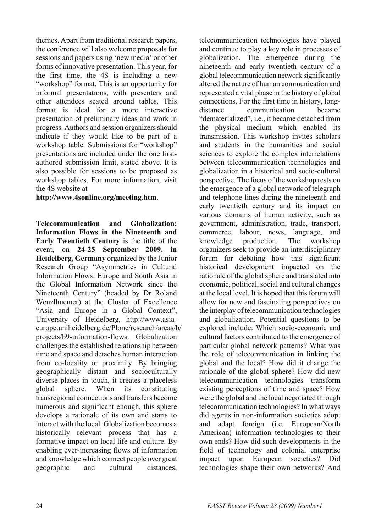themes. Apart from traditional research papers, the conference will also welcome proposals for sessions and papers using 'new media' or other forms of innovative presentation. This year, for the first time, the 4S is including a new "workshop" format. This is an opportunity for informal presentations, with presenters and other attendees seated around tables. This format is ideal for a more interactive presentation of preliminary ideas and work in progress. Authors and session organizers should indicate if they would like to be part of a workshop table. Submissions for "workshop" presentations are included under the one firstauthored submission limit, stated above. It is also possible for sessions to be proposed as workshop tables. For more information, visit the 4S website at

## **http://www.4sonline.org/meeting.htm**.

**Telecommunication and Globalization: Information Flows in the Nineteenth and Early Twentieth Century** is the title of the event, on **24-25 September 2009, in Heidelberg, Germany** organized by the Junior Research Group "Asymmetries in Cultural Information Flows: Europe and South Asia in the Global Information Network since the Nineteenth Century" (headed by Dr Roland Wenzlhuemer) at the Cluster of Excellence "Asia and Europe in a Global Context", University of Heidelberg, http://www.asiaeurope.uniheidelberg.de/Plone/research/areas/b/ projects/b9-information-flows. Globalization challenges the established relationship between time and space and detaches human interaction from co-locality or proximity. By bringing geographically distant and socioculturally diverse places in touch, it creates a placeless global sphere. When its constituting transregional connections and transfers become numerous and significant enough, this sphere develops a rationale of its own and starts to interact with the local. Globalization becomes a historically relevant process that has a formative impact on local life and culture. By enabling ever-increasing flows of information and knowledge which connect people over great geographic and cultural distances,

telecommunication technologies have played and continue to play a key role in processes of globalization. The emergence during the nineteenth and early twentieth century of a global telecommunication network significantly altered the nature of human communication and represented a vital phase in the history of global connections. For the first time in history, longdistance communication became "dematerialized", i.e., it became detached from the physical medium which enabled its transmission. This workshop invites scholars and students in the humanities and social sciences to explore the complex interrelations between telecommunication technologies and globalization in a historical and socio-cultural perspective. The focus of the workshop rests on the emergence of a global network of telegraph and telephone lines during the nineteenth and early twentieth century and its impact on various domains of human activity, such as government, administration, trade, transport, commerce, labour, news, language, and knowledge production. The workshop organizers seek to provide an interdisciplinary forum for debating how this significant historical development impacted on the rationale of the global sphere and translated into economic, political, social and cultural changes at the local level. It is hoped that this forum will allow for new and fascinating perspectives on the interplay of telecommunication technologies and globalization. Potential questions to be explored include: Which socio-economic and cultural factors contributed to the emergence of particular global network patterns? What was the role of telecommunication in linking the global and the local? How did it change the rationale of the global sphere? How did new telecommunication technologies transform existing perceptions of time and space? How were the global and the local negotiated through telecommunication technologies? In what ways did agents in non-information societies adopt and adapt foreign (i.e. European/North American) information technologies to their own ends? How did such developments in the field of technology and colonial enterprise impact upon European societies? Did technologies shape their own networks? And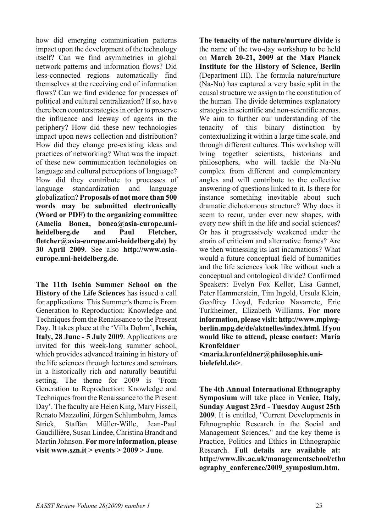how did emerging communication patterns impact upon the development of the technology itself? Can we find asymmetries in global network patterns and information flows? Did less-connected regions automatically find themselves at the receiving end of information flows? Can we find evidence for processes of political and cultural centralization? If so, have there been counterstrategies in order to preserve the influence and leeway of agents in the periphery? How did these new technologies impact upon news collection and distribution? How did they change pre-existing ideas and practices of networking? What was the impact of these new communication technologies on language and cultural perceptions of language? How did they contribute to processes of language standardization and language globalization? **Proposals of not more than 500 words may be submitted electronically (Word or PDF) to the organizing committee (Amelia Bonea, bonea@asia-europe.uniheidelberg.de and Paul Fletcher, fletcher@asia-europe.uni-heidelberg.de) by 30 April 2009**. See also **http://www.asiaeurope.uni-heidelberg.de**.

**The 11th Ischia Summer School on the History of the Life Sciences** has issued a call for applications. This Summer's theme is From Generation to Reproduction: Knowledge and Techniques from the Renaissance to the Present Day. It takes place at the 'Villa Dohrn', **Ischia, Italy, 28 June - 5 July 2009**. Applications are invited for this week-long summer school, which provides advanced training in history of the life sciences through lectures and seminars in a historically rich and naturally beautiful setting. The theme for 2009 is 'From Generation to Reproduction: Knowledge and Techniques from the Renaissance to the Present Day'. The faculty are Helen King, Mary Fissell, Renato Mazzolini, Jürgen Schlumbohm, James Strick, Staffan Müller-Wille, Jean-Paul Gaudillière, Susan Lindee, Christina Brandt and Martin Johnson. **For more information, please visit www.szn.it > events > 2009 > June**.

**The tenacity of the nature/nurture divide** is the name of the two-day workshop to be held on **March 20-21, 2009 at the Max Planck Institute for the History of Science, Berlin** (Department III). The formula nature/nurture (Na-Nu) has captured a very basic split in the causal structure we assign to the constitution of the human. The divide determines explanatory strategies in scientific and non-scientific arenas. We aim to further our understanding of the tenacity of this binary distinction by contextualizing it within a large time scale, and through different cultures. This workshop will bring together scientists, historians and philosophers, who will tackle the Na-Nu complex from different and complementary angles and will contribute to the collective answering of questions linked to it. Is there for instance something inevitable about such dramatic dichotomous structure? Why does it seem to recur, under ever new shapes, with every new shift in the life and social sciences? Or has it progressively weakened under the strain of criticism and alternative frames? Are we then witnessing its last incarnations? What would a future conceptual field of humanities and the life sciences look like without such a conceptual and ontological divide? Confirmed Speakers: Evelyn Fox Keller, Lisa Gannet, Peter Hammerstein, Tim Ingold, Ursula Klein, Geoffrey Lloyd, Federico Navarrete, Eric Turkheimer, Elizabeth Williams. **For more information, please visit: http://www.mpiwgberlin.mpg.de/de/aktuelles/index.html. If you would like to attend, please contact: Maria Kronfeldner** 

**<maria.kronfeldner@philosophie.unibielefeld.de>**.

**The 4th Annual International Ethnography Symposium** will take place in **Venice, Italy, Sunday August 23rd - Tuesday August 25th 2009**. It is entitled, "Current Developments in Ethnographic Research in the Social and Management Sciences," and the key theme is Practice, Politics and Ethics in Ethnographic Research. **Full details are available at: http://www.liv.ac.uk/managementschool/ethn ography\_conference/2009\_symposium.htm.**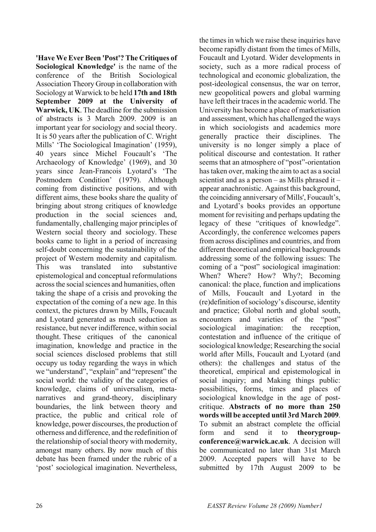**'Have We Ever Been 'Post'? The Critiques of Sociological Knowledge'** is the name of the conference of the British Sociological Association Theory Group in collaboration with Sociology at Warwick to be held **17th and 18th September 2009 at the University of Warwick, UK**. The deadline for the submission of abstracts is 3 March 2009. 2009 is an important year for sociology and social theory. It is 50 years after the publication of C. Wright Mills' 'The Sociological Imagination' (1959), 40 years since Michel Foucault's 'The Archaeology of Knowledge' (1969), and 30 years since Jean-Francois Lyotard's 'The Postmodern Condition' (1979). Although coming from distinctive positions, and with different aims, these books share the quality of bringing about strong critiques of knowledge production in the social sciences and, fundamentally, challenging major principles of Western social theory and sociology. These books came to light in a period of increasing self-doubt concerning the sustainability of the project of Western modernity and capitalism. This was translated into substantive epistemological and conceptual reformulations across the social sciences and humanities, often taking the shape of a crisis and provoking the expectation of the coming of a new age. In this context, the pictures drawn by Mills, Foucault and Lyotard generated as much seduction as resistance, but never indifference, within social thought. These critiques of the canonical imagination, knowledge and practice in the social sciences disclosed problems that still occupy us today regarding the ways in which we "understand", "explain" and "represent" the social world: the validity of the categories of knowledge, claims of universalism, metanarratives and grand-theory, disciplinary boundaries, the link between theory and practice, the public and critical role of knowledge, power discourses, the production of otherness and difference, and the redefinition of the relationship of social theory with modernity, amongst many others. By now much of this debate has been framed under the rubric of a 'post' sociological imagination. Nevertheless,

the times in which we raise these inquiries have become rapidly distant from the times of Mills, Foucault and Lyotard. Wider developments in society, such as a more radical process of technological and economic globalization, the post-ideological consensus, the war on terror, new geopolitical powers and global warming have left their traces in the academic world. The University has become a place of marketisation and assessment, which has challenged the ways in which sociologists and academics more generally practice their disciplines. The university is no longer simply a place of political discourse and contestation. It rather seems that an atmosphere of "post"-orientation has taken over, making the aim to act as a social scientist and as a person – as Mills phrased it – appear anachronistic. Against this background, the coinciding anniversary of Mills', Foucault's, and Lyotard's books provides an opportune moment for revisiting and perhaps updating the legacy of these "critiques of knowledge". Accordingly, the conference welcomes papers from across disciplines and countries, and from different theoretical and empirical backgrounds addressing some of the following issues: The coming of a "post" sociological imagination: When? Where? How? Why?; Becoming canonical: the place, function and implications of Mills, Foucault and Lyotard in the (re)definition of sociology's discourse, identity and practice; Global north and global south, encounters and varieties of the "post" sociological imagination: the reception, contestation and influence of the critique of sociological knowledge; Researching the social world after Mills, Foucault and Lyotard (and others): the challenges and status of the theoretical, empirical and epistemological in social inquiry; and Making things public: possibilities, forms, times and places of sociological knowledge in the age of postcritique. **Abstracts of no more than 250 words will be accepted until 3rd March 2009**. To submit an abstract complete the official form and send it to **theorygroupconference@warwick.ac.uk**. A decision will be communicated no later than 31st March 2009. Accepted papers will have to be submitted by 17th August 2009 to be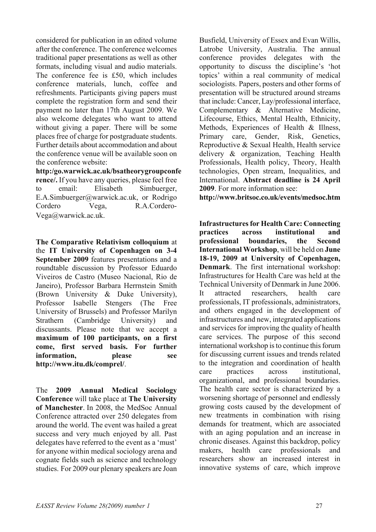considered for publication in an edited volume after the conference. The conference welcomes traditional paper presentations as well as other formats, including visual and audio materials. The conference fee is £50, which includes conference materials, lunch, coffee and refreshments. Participants giving papers must complete the registration form and send their payment no later than 17th August 2009. We also welcome delegates who want to attend without giving a paper. There will be some places free of charge for postgraduate students. Further details about accommodation and about the conference venue will be available soon on the conference website:

**http:/go.warwick.ac.uk/bsatheorygroupconfe rence/.** If you have any queries, please feel free to email: Elisabeth Simbuerger, E.A.Simbuerger@warwick.ac.uk, or Rodrigo Cordero Vega, R.A.Cordero-Vega@warwick.ac.uk.

**The Comparative Relativism colloquium** at the **IT University of Copenhagen on 3-4 September 2009** features presentations and a roundtable discussion by Professor Eduardo Viveiros de Castro (Museo Nacional, Rio de Janeiro), Professor Barbara Herrnstein Smith (Brown University & Duke University), Professor Isabelle Stengers (The Free University of Brussels) and Professor Marilyn Strathern (Cambridge University) and discussants. Please note that we accept a **maximum of 100 participants, on a first come, first served basis. For further information, please see http://www.itu.dk/comprel/**.

The **2009 Annual Medical Sociology Conference** will take place at **The University of Manchester**. In 2008, the MedSoc Annual Conference attracted over 250 delegates from around the world. The event was hailed a great success and very much enjoyed by all. Past delegates have referred to the event as a 'must' for anyone within medical sociology arena and cognate fields such as science and technology studies. For 2009 our plenary speakers are Joan

Busfield, University of Essex and Evan Willis, Latrobe University, Australia. The annual conference provides delegates with the opportunity to discuss the discipline's 'hot topics' within a real community of medical sociologists. Papers, posters and other forms of presentation will be structured around streams that include: Cancer, Lay/professional interface, Complementary & Alternative Medicine, Lifecourse, Ethics, Mental Health, Ethnicity, Methods, Experiences of Health & Illness, Primary care, Gender, Risk, Genetics, Reproductive & Sexual Health, Health service delivery & organization, Teaching Health Professionals, Health policy, Theory, Health technologies, Open stream, Inequalities, and International. **Abstract deadline is 24 April 2009**. For more information see:

**http://www.britsoc.co.uk/events/medsoc.htm** 

**Infrastructures for Health Care: Connecting practices across institutional and professional boundaries, the Second International Workshop**, will be held on **June 18-19, 2009 at University of Copenhagen, Denmark**. The first international workshop: Infrastructures for Health Care was held at the Technical University of Denmark in June 2006. It attracted researchers, health care professionals, IT professionals, administrators, and others engaged in the development of infrastructures and new, integrated applications and services for improving the quality of health care services. The purpose of this second international workshop is to continue this forum for discussing current issues and trends related to the integration and coordination of health care practices across institutional, organizational, and professional boundaries. The health care sector is characterized by a worsening shortage of personnel and endlessly growing costs caused by the development of new treatments in combination with rising demands for treatment, which are associated with an aging population and an increase in chronic diseases. Against this backdrop, policy makers, health care professionals and researchers show an increased interest in innovative systems of care, which improve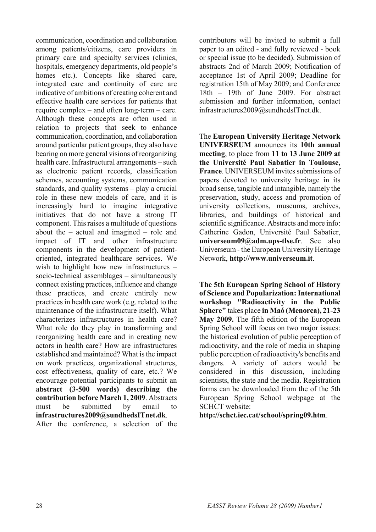communication, coordination and collaboration among patients/citizens, care providers in primary care and specialty services (clinics, hospitals, emergency departments, old people's homes etc.). Concepts like shared care, integrated care and continuity of care are indicative of ambitions of creating coherent and effective health care services for patients that require complex – and often long-term – care. Although these concepts are often used in relation to projects that seek to enhance communication, coordination, and collaboration around particular patient groups, they also have bearing on more general visions of reorganizing health care. Infrastructural arrangements – such as electronic patient records, classification schemes, accounting systems, communication standards, and quality systems – play a crucial role in these new models of care, and it is increasingly hard to imagine integrative initiatives that do not have a strong IT component. This raises a multitude of questions about the – actual and imagined – role and impact of IT and other infrastructure components in the development of patientoriented, integrated healthcare services. We wish to highlight how new infrastructures – socio-technical assemblages – simultaneously connect existing practices, influence and change these practices, and create entirely new practices in health care work (e.g. related to the maintenance of the infrastructure itself). What characterizes infrastructures in health care? What role do they play in transforming and reorganizing health care and in creating new actors in health care? How are infrastructures established and maintained? What is the impact on work practices, organizational structures, cost effectiveness, quality of care, etc.? We encourage potential participants to submit an **abstract (3-500 words) describing the contribution before March 1, 2009**. Abstracts must be submitted by email to **infrastructures2009@sundhedsITnet.dk**.

After the conference, a selection of the

contributors will be invited to submit a full paper to an edited - and fully reviewed - book or special issue (to be decided). Submission of abstracts 2nd of March 2009; Notification of acceptance 1st of April 2009; Deadline for registration 15th of May 2009; and Conference 18th – 19th of June 2009. For abstract submission and further information, contact infrastructures2009@sundhedsITnet.dk.

The **European University Heritage Network UNIVERSEUM** announces its **10th annual meeting**, to place from **11 to 13 June 2009 at the Université Paul Sabatier in Toulouse, France**. UNIVERSEUM invites submissions of papers devoted to university heritage in its broad sense, tangible and intangible, namely the preservation, study, access and promotion of university collections, museums, archives, libraries, and buildings of historical and scientific significance. Abstracts and more info: Catherine Gadon, Université Paul Sabatier **universeum09@adm.ups-tlse.fr**. See also Universeum - the European University Heritage Network, **http://www.universeum.it**.

**The 5th European Spring School of History of Science and Popularization: International workshop "Radioactivity in the Public Sphere"** takes place **in Maó (Menorca), 21-23 May 2009.** The fifth edition of the European Spring School will focus on two major issues: the historical evolution of public perception of radioactivity, and the role of media in shaping public perception of radioactivity's benefits and dangers. A variety of actors would be considered in this discussion, including scientists, the state and the media. Registration forms can be downloaded from the of the 5th European Spring School webpage at the SCHCT website:

**http://schct.iec.cat/school/spring09.htm**.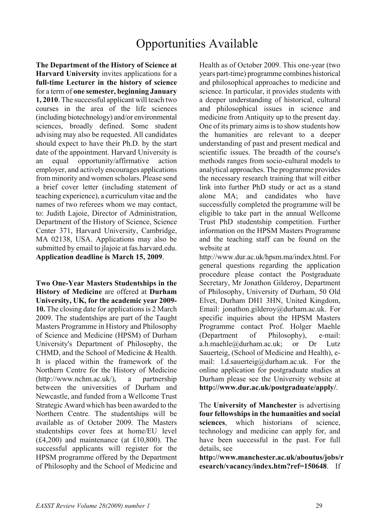# Opportunities Available

**The Department of the History of Science at Harvard University** invites applications for a **full-time Lecturer in the history of science**  for a term of **one semester, beginning January 1, 2010**. The successful applicant will teach two courses in the area of the life sciences (including biotechnology) and/or environmental sciences, broadly defined. Some student advising may also be requested. All candidates should expect to have their Ph.D. by the start date of the appointment. Harvard University is an equal opportunity/affirmative action employer, and actively encourages applications from minority and women scholars. Please send a brief cover letter (including statement of teaching experience), a curriculum vitae and the names of two referees whom we may contact, to: Judith Lajoie, Director of Administration, Department of the History of Science, Science Center 371, Harvard University, Cambridge, MA 02138, USA. Applications may also be submitted by email to jlajoie at fas.harvard.edu. **Application deadline is March 15, 2009**.

**Two One-Year Masters Studentships in the History of Medicine** are offered at **Durham University, UK, for the academic year 2009- 10.** The closing date for applications is 2 March 2009. The studentships are part of the Taught Masters Programme in History and Philosophy of Science and Medicine (HPSM) of Durham University's Department of Philosophy, the CHMD, and the School of Medicine & Health. It is placed within the framework of the Northern Centre for the History of Medicine (http://www.nchm.ac.uk/), a partnership between the universities of Durham and Newcastle, and funded from a Wellcome Trust Strategic Award which has been awarded to the Northern Centre. The studentships will be available as of October 2009. The Masters studentships cover fees at home/EU level (£4,200) and maintenance (at £10,800). The successful applicants will register for the HPSM programme offered by the Department of Philosophy and the School of Medicine and Health as of October 2009. This one-year (two years part-time) programme combines historical and philosophical approaches to medicine and science. In particular, it provides students with a deeper understanding of historical, cultural and philosophical issues in science and medicine from Antiquity up to the present day. One of its primary aims is to show students how the humanities are relevant to a deeper understanding of past and present medical and scientific issues. The breadth of the course's methods ranges from socio-cultural models to analytical approaches. The programme provides the necessary research training that will either link into further PhD study or act as a stand alone MA; and candidates who have successfully completed the programme will be eligible to take part in the annual Wellcome Trust PhD studentship competition. Further information on the HPSM Masters Programme and the teaching staff can be found on the website at

http://www.dur.ac.uk/hpsm.ma/index.html. For general questions regarding the application procedure please contact the Postgraduate Secretary, Mr Jonathon Gilderoy, Department of Philosophy, University of Durham, 50 Old Elvet, Durham DH1 3HN, United Kingdom, Email: jonathon.gilderoy@durham.ac.uk. For specific inquiries about the HPSM Masters Programme contact Prof. Holger Maehle (Department of Philosophy), e-mail: a.h.maehle@durham.ac.uk; or Dr Lutz Sauerteig, (School of Medicine and Health), email: l.d.sauerteig@durham.ac.uk. For the online application for postgraduate studies at Durham please see the University website at **http://www.dur.ac.uk/postgraduate/apply/**.

The **University of Manchester** is advertising **four fellowships in the humanities and social sciences**, which historians of science, technology and medicine can apply for, and have been successful in the past. For full details, see

**http://www.manchester.ac.uk/aboutus/jobs/r esearch/vacancy/index.htm?ref=150648**. If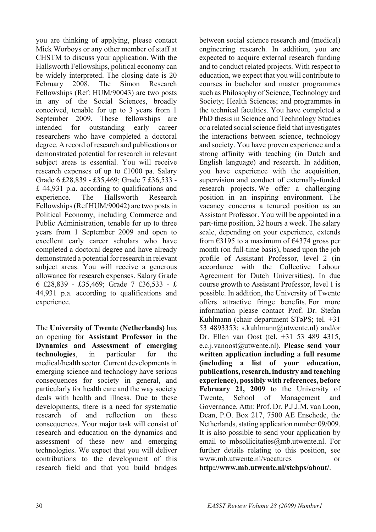you are thinking of applying, please contact Mick Worboys or any other member of staff at CHSTM to discuss your application. With the Hallsworth Fellowships, political economy can be widely interpreted. The closing date is 20 February 2008. The Simon Research Fellowships (Ref: HUM/90043) are two posts in any of the Social Sciences, broadly conceived, tenable for up to 3 years from 1 September 2009. These fellowships are intended for outstanding early career researchers who have completed a doctoral degree. A record of research and publications or demonstrated potential for research in relevant subject areas is essential. You will receive research expenses of up to £1000 pa. Salary Grade 6 £28,839 - £35,469; Grade 7 £36,533 - £ 44,931 p.a. according to qualifications and experience. The Hallsworth Research Fellowships (Ref HUM/90042) are two posts in Political Economy, including Commerce and Public Administration, tenable for up to three years from 1 September 2009 and open to excellent early career scholars who have completed a doctoral degree and have already demonstrated a potential for research in relevant subject areas. You will receive a generous allowance for research expenses. Salary Grade 6 £28,839 - £35,469; Grade 7 £36,533 - £ 44,931 p.a. according to qualifications and experience.

The **University of Twente (Netherlands)** has an opening for **Assistant Professor in the Dynamics and Assessment of emerging technologies**, in particular for the medical/health sector. Current developments in emerging science and technology have serious consequences for society in general, and particularly for health care and the way society deals with health and illness. Due to these developments, there is a need for systematic research of and reflection on these consequences. Your major task will consist of research and education on the dynamics and assessment of these new and emerging technologies. We expect that you will deliver contributions to the development of this research field and that you build bridges

between social science research and (medical) engineering research. In addition, you are expected to acquire external research funding and to conduct related projects. With respect to education, we expect that you will contribute to courses in bachelor and master programmes such as Philosophy of Science, Technology and Society; Health Sciences; and programmes in the technical faculties. You have completed a PhD thesis in Science and Technology Studies or a related social science field that investigates the interactions between science, technology and society. You have proven experience and a strong affinity with teaching (in Dutch and English language) and research. In addition, you have experience with the acquisition, supervision and conduct of externally-funded research projects. We offer a challenging position in an inspiring environment. The vacancy concerns a tenured position as an Assistant Professor. You will be appointed in a part-time position, 32 hours a week. The salary scale, depending on your experience, extends from  $\epsilon$ 3195 to a maximum of  $\epsilon$ 4374 gross per month (on full-time basis), based upon the job profile of Assistant Professor, level 2 (in accordance with the Collective Labour Agreement for Dutch Universities). In due course growth to Assistant Professor, level 1 is possible. In addition, the University of Twente offers attractive fringe benefits. For more information please contact Prof. Dr. Stefan Kuhlmann (chair department STəPS; tel. +31 53 4893353; s.kuhlmann@utwente.nl) and/or Dr. Ellen van Oost (tel. +31 53 489 4315, e.c.j.vanoost@utwente.nl). **Please send your written application including a full resume (including a list of your education, publications, research, industry and teaching experience), possibly with references, before February 21, 2009** to the University of Twente, School of Management and Governance, Attn: Prof. Dr. P.J.J.M. van Loon, Dean, P.O. Box 217, 7500 AE Enschede, the Netherlands, stating application number 09/009. It is also possible to send your application by email to mbsollicitaties@mb.utwente.nl. For further details relating to this position, see www.mb.utwente.nl/vacatures or **http://www.mb.utwente.nl/stehps/about/**.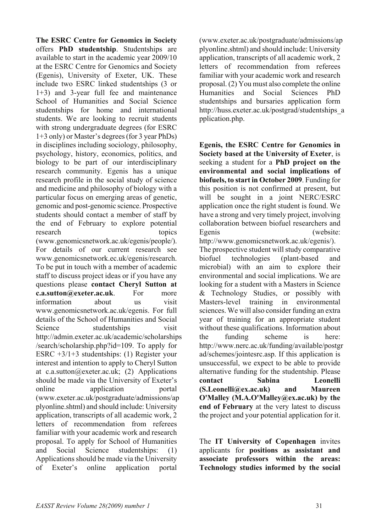**The ESRC Centre for Genomics in Society** offers **PhD studentship**. Studentships are available to start in the academic year 2009/10 at the ESRC Centre for Genomics and Society (Egenis), University of Exeter, UK. These include two ESRC linked studentships (3 or 1+3) and 3-year full fee and maintenance School of Humanities and Social Science studentships for home and international students. We are looking to recruit students with strong undergraduate degrees (for ESRC 1+3 only) or Master's degrees (for 3 year PhDs) in disciplines including sociology, philosophy, psychology, history, economics, politics, and biology to be part of our interdisciplinary research community. Egenis has a unique research profile in the social study of science and medicine and philosophy of biology with a particular focus on emerging areas of genetic, genomic and post-genomic science. Prospective students should contact a member of staff by the end of February to explore potential research topics (www.genomicsnetwork.ac.uk/egenis/people/). For details of our current research see www.genomicsnetwork.ec.uk/egenis/research. To be put in touch with a member of academic staff to discuss project ideas or if you have any questions please **contact Cheryl Sutton at c.a.sutton@exeter.ac.uk**. For more information about us visit www.genomicsnetwork.ac.uk/egenis. For full details of the School of Humanities and Social Science studentships visit http://admin.exeter.ac.uk/academic/scholarships /search/scholarship.php?id=109. To apply for ESRC +3/1+3 studentships: (1) Register your interest and intention to apply to Cheryl Sutton at c.a.sutton@exeter.ac.uk; (2) Applications should be made via the University of Exeter's online application portal (www.exeter.ac.uk/postgraduate/admissions/ap plyonline.shtml) and should include: University application, transcripts of all academic work, 2 letters of recommendation from referees familiar with your academic work and research proposal. To apply for School of Humanities and Social Science studentships: (1) Applications should be made via the University of Exeter's online application portal

(www.exeter.ac.uk/postgraduate/admissions/ap plyonline.shtml) and should include: University application, transcripts of all academic work, 2 letters of recommendation from referees familiar with your academic work and research proposal. (2) You must also complete the online Humanities and Social Sciences PhD studentships and bursaries application form http://huss.exeter.ac.uk/postgrad/studentships\_a pplication.php.

**Egenis, the ESRC Centre for Genomics in Society based at the University of Exeter**, is seeking a student for a **PhD project on the environmental and social implications of biofuels, to start in October 2009**. Funding for this position is not confirmed at present, but will be sought in a joint NERC/ESRC application once the right student is found. We have a strong and very timely project, involving collaboration between biofuel researchers and Egenis (website:

http://www.genomicsnetwork.ac.uk/egenis/). The prospective student will study comparative biofuel technologies (plant-based and microbial) with an aim to explore their environmental and social implications. We are looking for a student with a Masters in Science & Technology Studies, or possibly with Masters-level training in environmental sciences. We will also consider funding an extra year of training for an appropriate student without these qualifications. Information about the funding scheme is here: http://www.nerc.ac.uk/funding/available/postgr ad/schemes/jointesrc.asp. If this application is unsuccessful, we expect to be able to provide alternative funding for the studentship. Please **contact Sabina Leonelli (S.Leonelli@ex.ac.uk) and Maureen O'Malley (M.A.O'Malley@ex.ac.uk) by the end of February** at the very latest to discuss the project and your potential application for it.

The **IT University of Copenhagen** invites applicants for **positions as assistant and associate professors within the areas: Technology studies informed by the social**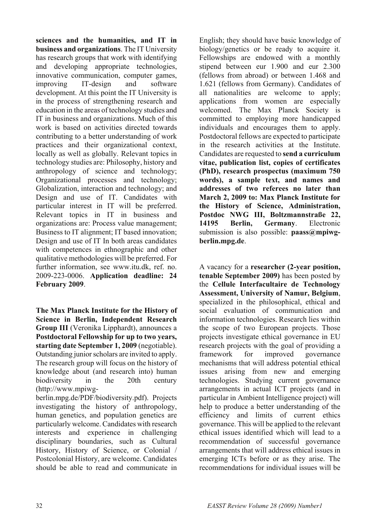**sciences and the humanities, and IT in business and organizations**. The IT University has research groups that work with identifying and developing appropriate technologies, innovative communication, computer games, improving IT-design and software development. At this point the IT University is in the process of strengthening research and education in the areas of technology studies and IT in business and organizations. Much of this work is based on activities directed towards contributing to a better understanding of work practices and their organizational context, locally as well as globally. Relevant topics in technology studies are: Philosophy, history and anthropology of science and technology; Organizational processes and technology; Globalization, interaction and technology; and Design and use of IT. Candidates with particular interest in IT will be preferred. Relevant topics in IT in business and organizations are: Process value management; Business to IT alignment; IT based innovation; Design and use of IT In both areas candidates with competences in ethnographic and other qualitative methodologies will be preferred. For further information, see www.itu.dk, ref. no. 2009-223-0006. **Application deadline: 24 February 2009**.

**The Max Planck Institute for the History of Science in Berlin, Independent Research Group III** (Veronika Lipphardt), announces a **Postdoctoral Fellowship for up to two years, starting date September 1, 2009** (negotiable). Outstanding junior scholars are invited to apply. The research group will focus on the history of knowledge about (and research into) human biodiversity in the 20th century (http://www.mpiwgberlin.mpg.de/PDF/biodiversity.pdf). Projects

investigating the history of anthropology, human genetics, and population genetics are particularly welcome. Candidates with research interests and experience in challenging disciplinary boundaries, such as Cultural History, History of Science, or Colonial / Postcolonial History, are welcome. Candidates should be able to read and communicate in

English; they should have basic knowledge of biology/genetics or be ready to acquire it. Fellowships are endowed with a monthly stipend between eur 1.900 and eur 2.300 (fellows from abroad) or between 1.468 and 1.621 (fellows from Germany). Candidates of all nationalities are welcome to apply; applications from women are especially welcomed. The Max Planck Society is committed to employing more handicapped individuals and encourages them to apply. Postdoctoral fellows are expected to participate in the research activities at the Institute. Candidates are requested to **send a curriculum vitae, publication list, copies of certificates (PhD), research prospectus (maximum 750 words), a sample text, and names and addresses of two referees no later than March 2, 2009 to: Max Planck Institute for the History of Science, Administration, Postdoc NWG III, Boltzmannstraße 22, 14195 Berlin, Germany**. Electronic submission is also possible: **paass@mpiwgberlin.mpg.de**.

A vacancy for a **researcher (2-year position, tenable September 2009)** has been posted by the **Cellule Interfacultaire de Technology Assessment, University of Namur, Belgium**, specialized in the philosophical, ethical and social evaluation of communication and information technologies. Research lies within the scope of two European projects. Those projects investigate ethical governance in EU research projects with the goal of providing a framework for improved governance mechanisms that will address potential ethical issues arising from new and emerging technologies. Studying current governance arrangements in actual ICT projects (and in particular in Ambient Intelligence project) will help to produce a better understanding of the efficiency and limits of current ethics governance. This will be applied to the relevant ethical issues identified which will lead to a recommendation of successful governance arrangements that will address ethical issues in emerging ICTs before or as they arise. The recommendations for individual issues will be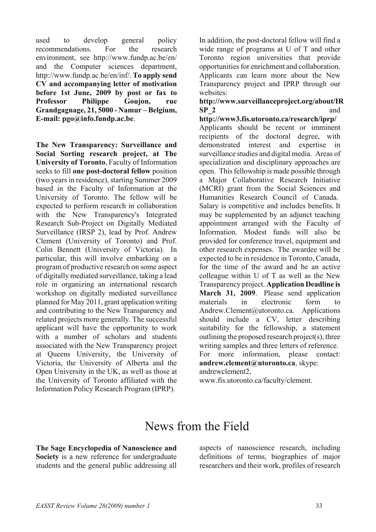used to develop general policy recommendations. For the research environment, see http://www.fundp.ac.be/en/ and the Computer sciences department, http://www.fundp.ac.be/en/inf/. **To apply send CV and accompanying letter of motivation before 1st June, 2009 by post or fax to Professor Philippe Goujon, rue Grandgagnage, 21, 5000 - Namur – Belgium, E-mail: pgo@info.fundp.ac.be**.

**The New Transparency: Surveillance and Social Sorting research project, at The University of Toronto**, Faculty of Information seeks to fill **one post-doctoral fellow** position (two years in residence), starting Summer 2009 based in the Faculty of Information at the University of Toronto. The fellow will be expected to perform research in collaboration with the New Transparency's Integrated Research Sub-Project on Digitally Mediated Surveillance (IRSP 2), lead by Prof. Andrew Clement (University of Toronto) and Prof. Colin Bennett (University of Victoria). In particular, this will involve embarking on a program of productive research on some aspect of digitally mediated surveillance, taking a lead role in organizing an international research workshop on digitally mediated surveillance planned for May 2011, grant application writing and contributing to the New Transparency and related projects more generally. The successful applicant will have the opportunity to work with a number of scholars and students associated with the New Transparency project at Queens University, the University of Victoria, the University of Alberta and the Open University in the UK, as well as those at the University of Toronto affiliated with the Information Policy Research Program (IPRP).

In addition, the post-doctoral fellow will find a wide range of programs at U of T and other Toronto region universities that provide opportunities for enrichment and collaboration. Applicants can learn more about the New Transparency project and IPRP through our websites:

## **http://www.surveillanceproject.org/about/IR SP\_2** and

**http://www3.fis.utoronto.ca/research/iprp/**  Applicants should be recent or imminent recipients of the doctoral degree, with demonstrated interest and expertise in surveillance studies and digital media. Areas of specialization and disciplinary approaches are open. This fellowship is made possible through a Major Collaborative Research Initiative (MCRI) grant from the Social Sciences and Humanities Research Council of Canada. Salary is competitive and includes benefits. It may be supplemented by an adjunct teaching appointment arranged with the Faculty of Information. Modest funds will also be provided for conference travel, equipment and other research expenses. The awardee will be expected to be in residence in Toronto, Canada, for the time of the award and be an active colleague within U of T as well as the New Transparency project. **Application Deadline is March 31, 2009**. Please send application materials in electronic form to Andrew.Clement@utoronto.ca. Applications should include a CV, letter describing suitability for the fellowship, a statement outlining the proposed research project(s), three writing samples and three letters of reference. For more information, please contact: **andrew.clement@utoronto.ca**, skype: andrewclement2,

www.fis.utoronto.ca/faculty/clement.

# News from the Field

**The Sage Encyclopedia of Nanoscience and Society** is a new reference for undergraduate students and the general public addressing all aspects of nanoscience research, including definitions of terms, biographies of major researchers and their work, profiles of research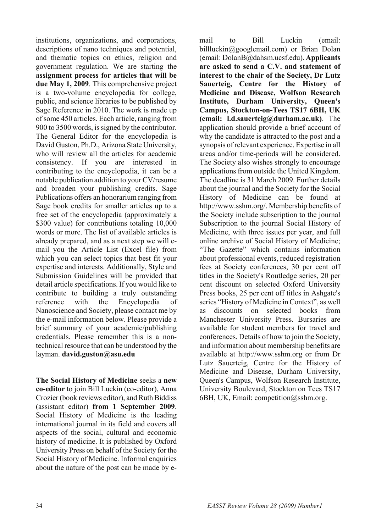institutions, organizations, and corporations, descriptions of nano techniques and potential, and thematic topics on ethics, religion and government regulation. We are starting the **assignment process for articles that will be due May 1, 2009**. This comprehensive project is a two-volume encyclopedia for college, public, and science libraries to be published by Sage Reference in 2010. The work is made up of some 450 articles. Each article, ranging from 900 to 3500 words, is signed by the contributor. The General Editor for the encyclopedia is David Guston, Ph.D., Arizona State University, who will review all the articles for academic consistency. If you are interested in contributing to the encyclopedia, it can be a notable publication addition to your CV/resume and broaden your publishing credits. Sage Publications offers an honorarium ranging from Sage book credits for smaller articles up to a free set of the encyclopedia (approximately a \$300 value) for contributions totaling 10,000 words or more. The list of available articles is already prepared, and as a next step we will email you the Article List (Excel file) from which you can select topics that best fit your expertise and interests. Additionally, Style and Submission Guidelines will be provided that detail article specifications. If you would like to contribute to building a truly outstanding reference with the Encyclopedia of Nanoscience and Society, please contact me by the e-mail information below. Please provide a brief summary of your academic/publishing credentials. Please remember this is a nontechnical resource that can be understood by the layman. **david.guston@asu.edu**

**The Social History of Medicine** seeks a **new co-editor** to join Bill Luckin (co-editor), Anna Crozier (book reviews editor), and Ruth Biddiss (assistant editor) **from 1 September 2009**. Social History of Medicine is the leading international journal in its field and covers all aspects of the social, cultural and economic history of medicine. It is published by Oxford University Press on behalf of the Society for the Social History of Medicine. Informal enquiries about the nature of the post can be made by email to Bill Luckin (email: billluckin@googlemail.com) or Brian Dolan (email: DolanB@dahsm.ucsf.edu). **Applicants are asked to send a C.V. and statement of interest to the chair of the Society, Dr Lutz Sauerteig, Centre for the History of Medicine and Disease, Wolfson Research Institute, Durham University, Queen's Campus, Stockton-on-Tees TS17 6BH, UK (email: l.d.sauerteig@durham.ac.uk)**. The application should provide a brief account of why the candidate is attracted to the post and a synopsis of relevant experience. Expertise in all areas and/or time-periods will be considered. The Society also wishes strongly to encourage applications from outside the United Kingdom. The deadline is 31 March 2009. Further details about the journal and the Society for the Social History of Medicine can be found at http://www.sshm.org/. Membership benefits of the Society include subscription to the journal Subscription to the journal Social History of Medicine, with three issues per year, and full online archive of Social History of Medicine; "The Gazette" which contains information about professional events, reduced registration fees at Society conferences, 30 per cent off titles in the Society's Routledge series, 20 per cent discount on selected Oxford University Press books, 25 per cent off titles in Ashgate's series "History of Medicine in Context", as well as discounts on selected books from Manchester University Press. Bursaries are available for student members for travel and conferences. Details of how to join the Society, and information about membership benefits are available at http://www.sshm.org or from Dr Lutz Sauerteig, Centre for the History of Medicine and Disease, Durham University, Queen's Campus, Wolfson Research Institute, University Boulevard, Stockton on Tees TS17 6BH, UK, Email: competition@sshm.org.